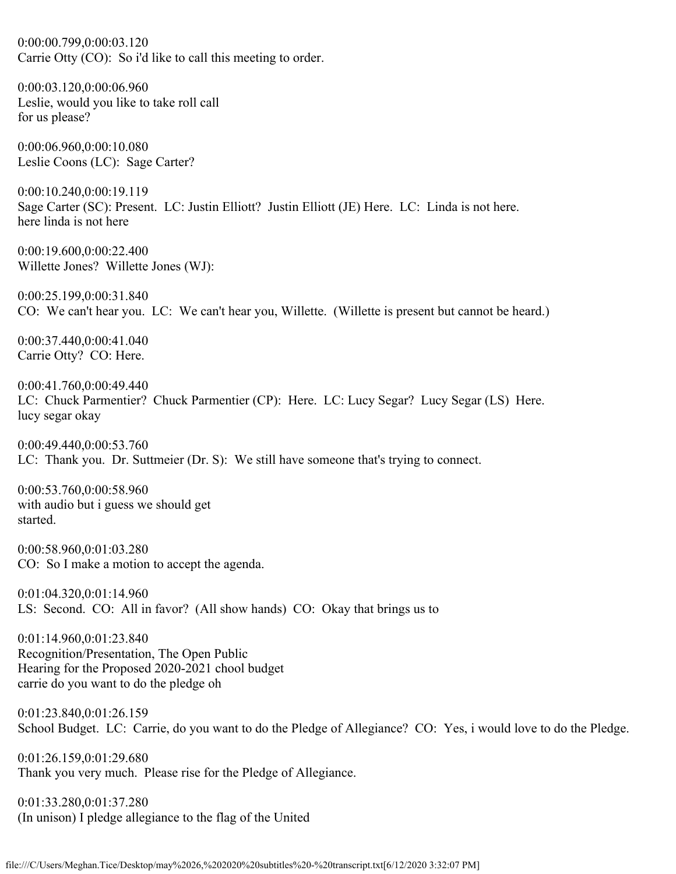0:00:00.799,0:00:03.120 Carrie Otty (CO): So i'd like to call this meeting to order.

0:00:03.120,0:00:06.960 Leslie, would you like to take roll call for us please?

0:00:06.960,0:00:10.080 Leslie Coons (LC): Sage Carter?

0:00:10.240,0:00:19.119 Sage Carter (SC): Present. LC: Justin Elliott? Justin Elliott (JE) Here. LC: Linda is not here. here linda is not here

0:00:19.600,0:00:22.400 Willette Jones? Willette Jones (WJ):

0:00:25.199,0:00:31.840 CO: We can't hear you. LC: We can't hear you, Willette. (Willette is present but cannot be heard.)

0:00:37.440,0:00:41.040 Carrie Otty? CO: Here.

0:00:41.760,0:00:49.440 LC: Chuck Parmentier? Chuck Parmentier (CP): Here. LC: Lucy Segar? Lucy Segar (LS) Here. lucy segar okay

0:00:49.440,0:00:53.760 LC: Thank you. Dr. Suttmeier (Dr. S): We still have someone that's trying to connect.

0:00:53.760,0:00:58.960 with audio but i guess we should get started.

0:00:58.960,0:01:03.280 CO: So I make a motion to accept the agenda.

0:01:04.320,0:01:14.960 LS: Second. CO: All in favor? (All show hands) CO: Okay that brings us to

0:01:14.960,0:01:23.840 Recognition/Presentation, The Open Public Hearing for the Proposed 2020-2021 chool budget carrie do you want to do the pledge oh

0:01:23.840,0:01:26.159 School Budget. LC: Carrie, do you want to do the Pledge of Allegiance? CO: Yes, i would love to do the Pledge.

0:01:26.159,0:01:29.680 Thank you very much. Please rise for the Pledge of Allegiance.

0:01:33.280,0:01:37.280 (In unison) I pledge allegiance to the flag of the United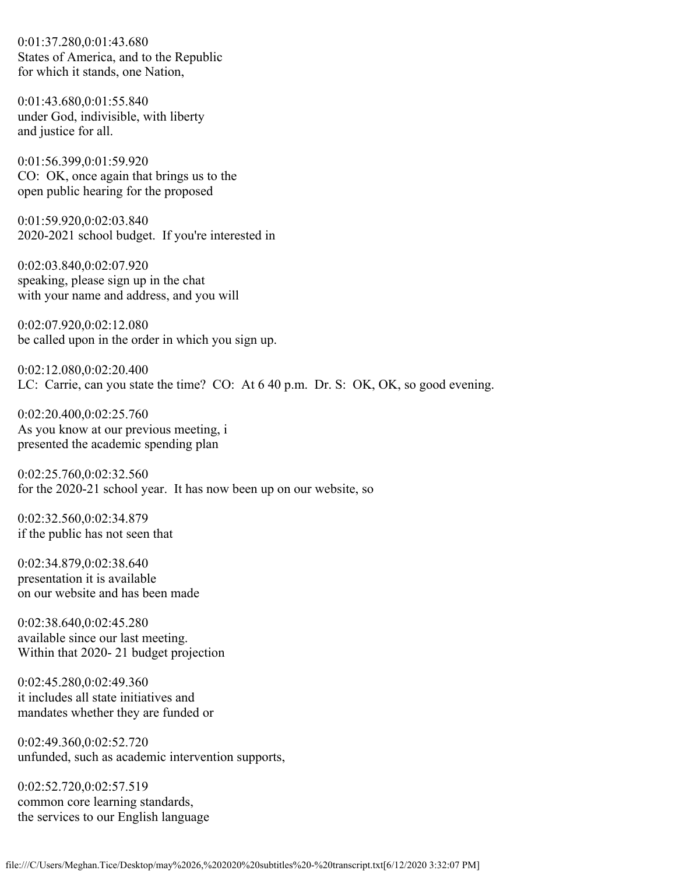0:01:37.280,0:01:43.680 States of America, and to the Republic for which it stands, one Nation,

0:01:43.680,0:01:55.840 under God, indivisible, with liberty and justice for all.

0:01:56.399,0:01:59.920 CO: OK, once again that brings us to the open public hearing for the proposed

0:01:59.920,0:02:03.840 2020-2021 school budget. If you're interested in

0:02:03.840,0:02:07.920 speaking, please sign up in the chat with your name and address, and you will

0:02:07.920,0:02:12.080 be called upon in the order in which you sign up.

0:02:12.080,0:02:20.400 LC: Carrie, can you state the time? CO: At 6 40 p.m. Dr. S: OK, OK, so good evening.

0:02:20.400,0:02:25.760 As you know at our previous meeting, i presented the academic spending plan

0:02:25.760,0:02:32.560 for the 2020-21 school year. It has now been up on our website, so

0:02:32.560,0:02:34.879 if the public has not seen that

0:02:34.879,0:02:38.640 presentation it is available on our website and has been made

0:02:38.640,0:02:45.280 available since our last meeting. Within that 2020- 21 budget projection

0:02:45.280,0:02:49.360 it includes all state initiatives and mandates whether they are funded or

0:02:49.360,0:02:52.720 unfunded, such as academic intervention supports,

0:02:52.720,0:02:57.519 common core learning standards, the services to our English language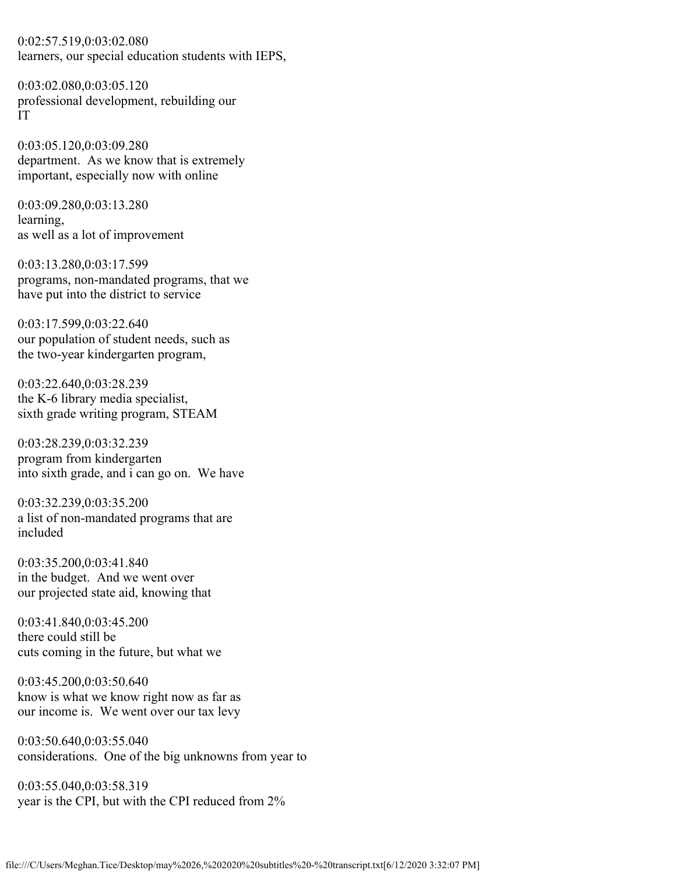0:02:57.519,0:03:02.080 learners, our special education students with IEPS,

0:03:02.080,0:03:05.120 professional development, rebuilding our IT

0:03:05.120,0:03:09.280 department. As we know that is extremely important, especially now with online

0:03:09.280,0:03:13.280 learning, as well as a lot of improvement

0:03:13.280,0:03:17.599 programs, non-mandated programs, that we have put into the district to service

0:03:17.599,0:03:22.640 our population of student needs, such as the two-year kindergarten program,

0:03:22.640,0:03:28.239 the K-6 library media specialist, sixth grade writing program, STEAM

0:03:28.239,0:03:32.239 program from kindergarten into sixth grade, and i can go on. We have

0:03:32.239,0:03:35.200 a list of non-mandated programs that are included

0:03:35.200,0:03:41.840 in the budget. And we went over our projected state aid, knowing that

0:03:41.840,0:03:45.200 there could still be cuts coming in the future, but what we

0:03:45.200,0:03:50.640 know is what we know right now as far as our income is. We went over our tax levy

0:03:50.640,0:03:55.040 considerations. One of the big unknowns from year to

0:03:55.040,0:03:58.319 year is the CPI, but with the CPI reduced from 2%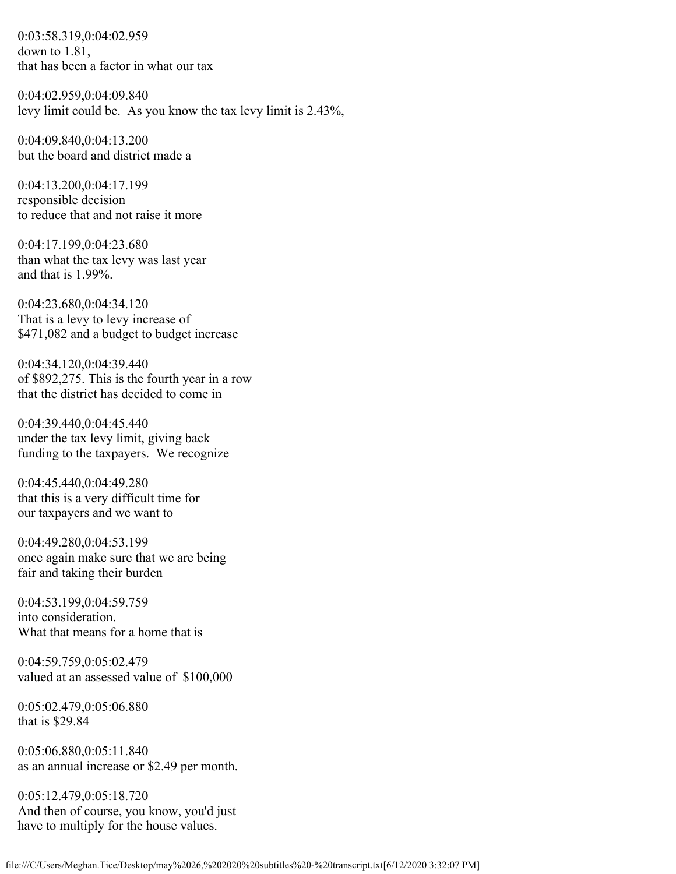0:03:58.319,0:04:02.959 down to 1.81, that has been a factor in what our tax

0:04:02.959,0:04:09.840 levy limit could be. As you know the tax levy limit is 2.43%,

0:04:09.840,0:04:13.200 but the board and district made a

0:04:13.200,0:04:17.199 responsible decision to reduce that and not raise it more

0:04:17.199,0:04:23.680 than what the tax levy was last year and that is 1.99%.

0:04:23.680,0:04:34.120 That is a levy to levy increase of \$471,082 and a budget to budget increase

0:04:34.120,0:04:39.440 of \$892,275. This is the fourth year in a row that the district has decided to come in

0:04:39.440,0:04:45.440 under the tax levy limit, giving back funding to the taxpayers. We recognize

0:04:45.440,0:04:49.280 that this is a very difficult time for our taxpayers and we want to

0:04:49.280,0:04:53.199 once again make sure that we are being fair and taking their burden

0:04:53.199,0:04:59.759 into consideration. What that means for a home that is

0:04:59.759,0:05:02.479 valued at an assessed value of \$100,000

0:05:02.479,0:05:06.880 that is \$29.84

0:05:06.880,0:05:11.840 as an annual increase or \$2.49 per month.

0:05:12.479,0:05:18.720 And then of course, you know, you'd just have to multiply for the house values.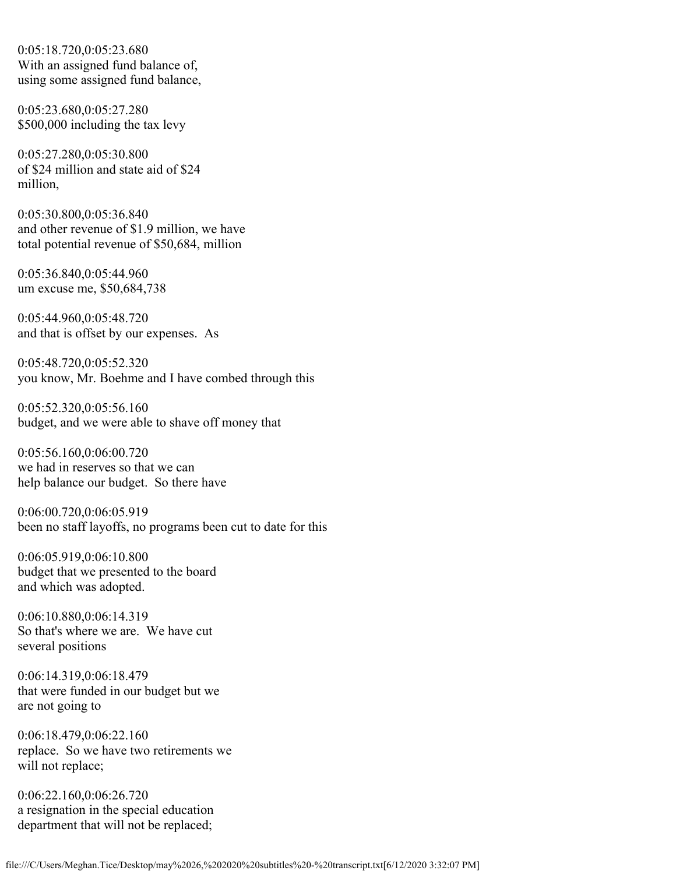0:05:18.720,0:05:23.680 With an assigned fund balance of, using some assigned fund balance,

0:05:23.680,0:05:27.280 \$500,000 including the tax levy

0:05:27.280,0:05:30.800 of \$24 million and state aid of \$24 million,

0:05:30.800,0:05:36.840 and other revenue of \$1.9 million, we have total potential revenue of \$50,684, million

0:05:36.840,0:05:44.960 um excuse me, \$50,684,738

0:05:44.960,0:05:48.720 and that is offset by our expenses. As

0:05:48.720,0:05:52.320 you know, Mr. Boehme and I have combed through this

0:05:52.320,0:05:56.160 budget, and we were able to shave off money that

0:05:56.160,0:06:00.720 we had in reserves so that we can help balance our budget. So there have

0:06:00.720,0:06:05.919 been no staff layoffs, no programs been cut to date for this

0:06:05.919,0:06:10.800 budget that we presented to the board and which was adopted.

0:06:10.880,0:06:14.319 So that's where we are. We have cut several positions

0:06:14.319,0:06:18.479 that were funded in our budget but we are not going to

0:06:18.479,0:06:22.160 replace. So we have two retirements we will not replace;

0:06:22.160,0:06:26.720 a resignation in the special education department that will not be replaced;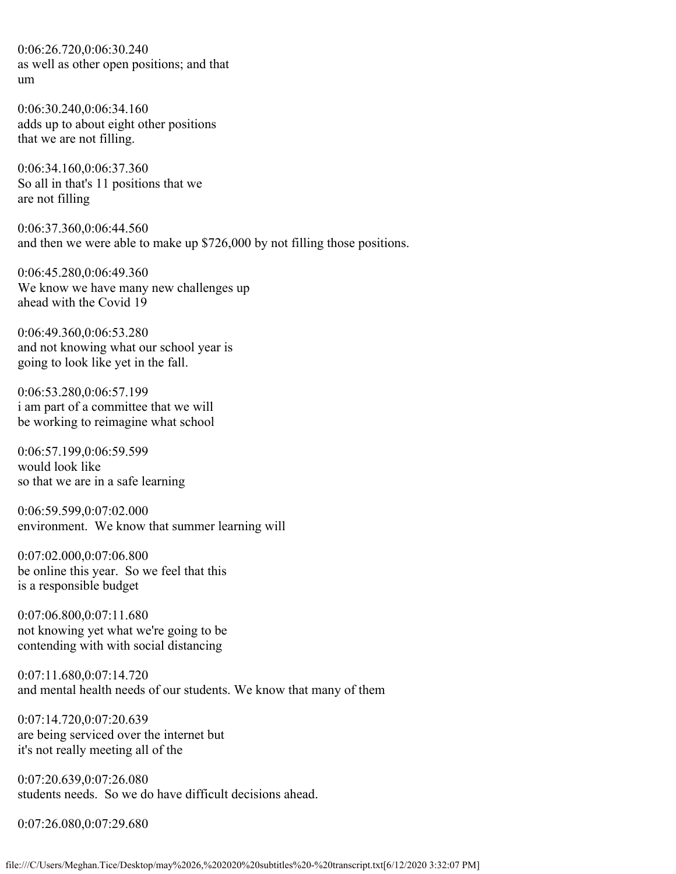0:06:26.720,0:06:30.240 as well as other open positions; and that um

0:06:30.240,0:06:34.160 adds up to about eight other positions that we are not filling.

0:06:34.160,0:06:37.360 So all in that's 11 positions that we are not filling

0:06:37.360,0:06:44.560 and then we were able to make up \$726,000 by not filling those positions.

0:06:45.280,0:06:49.360 We know we have many new challenges up ahead with the Covid 19

0:06:49.360,0:06:53.280 and not knowing what our school year is going to look like yet in the fall.

0:06:53.280,0:06:57.199 i am part of a committee that we will be working to reimagine what school

0:06:57.199,0:06:59.599 would look like so that we are in a safe learning

0:06:59.599,0:07:02.000 environment. We know that summer learning will

0:07:02.000,0:07:06.800 be online this year. So we feel that this is a responsible budget

0:07:06.800,0:07:11.680 not knowing yet what we're going to be contending with with social distancing

0:07:11.680,0:07:14.720 and mental health needs of our students. We know that many of them

0:07:14.720,0:07:20.639 are being serviced over the internet but it's not really meeting all of the

0:07:20.639,0:07:26.080 students needs. So we do have difficult decisions ahead.

0:07:26.080,0:07:29.680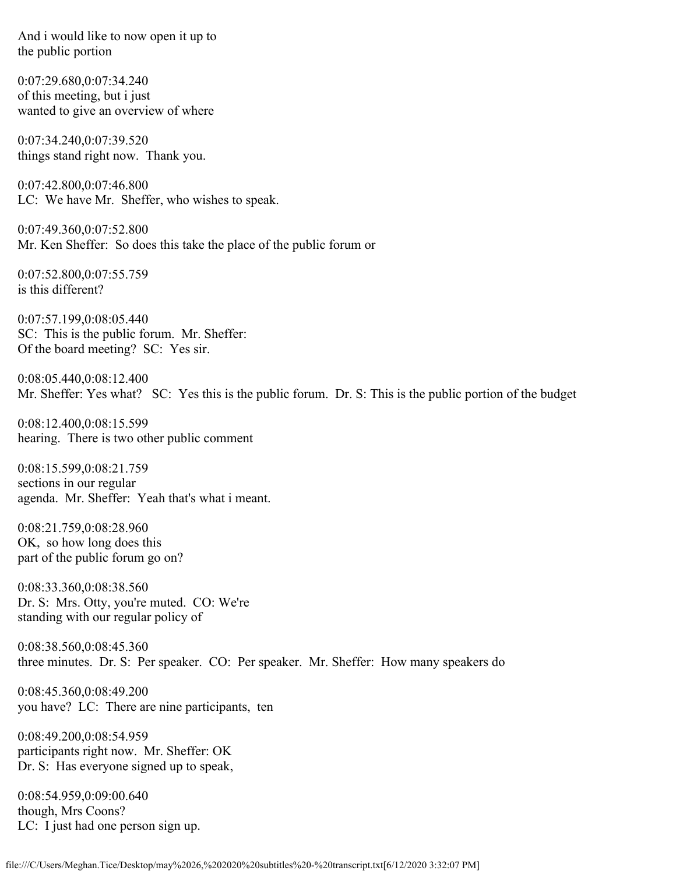And i would like to now open it up to the public portion

0:07:29.680,0:07:34.240 of this meeting, but i just wanted to give an overview of where

0:07:34.240,0:07:39.520 things stand right now. Thank you.

0:07:42.800,0:07:46.800 LC: We have Mr. Sheffer, who wishes to speak.

0:07:49.360,0:07:52.800 Mr. Ken Sheffer: So does this take the place of the public forum or

0:07:52.800,0:07:55.759 is this different?

0:07:57.199,0:08:05.440 SC: This is the public forum. Mr. Sheffer: Of the board meeting? SC: Yes sir.

0:08:05.440,0:08:12.400 Mr. Sheffer: Yes what? SC: Yes this is the public forum. Dr. S: This is the public portion of the budget

0:08:12.400,0:08:15.599 hearing. There is two other public comment

0:08:15.599,0:08:21.759 sections in our regular agenda. Mr. Sheffer: Yeah that's what i meant.

0:08:21.759,0:08:28.960 OK, so how long does this part of the public forum go on?

0:08:33.360,0:08:38.560 Dr. S: Mrs. Otty, you're muted. CO: We're standing with our regular policy of

0:08:38.560,0:08:45.360 three minutes. Dr. S: Per speaker. CO: Per speaker. Mr. Sheffer: How many speakers do

0:08:45.360,0:08:49.200 you have? LC: There are nine participants, ten

0:08:49.200,0:08:54.959 participants right now. Mr. Sheffer: OK Dr. S: Has everyone signed up to speak,

0:08:54.959,0:09:00.640 though, Mrs Coons? LC: I just had one person sign up.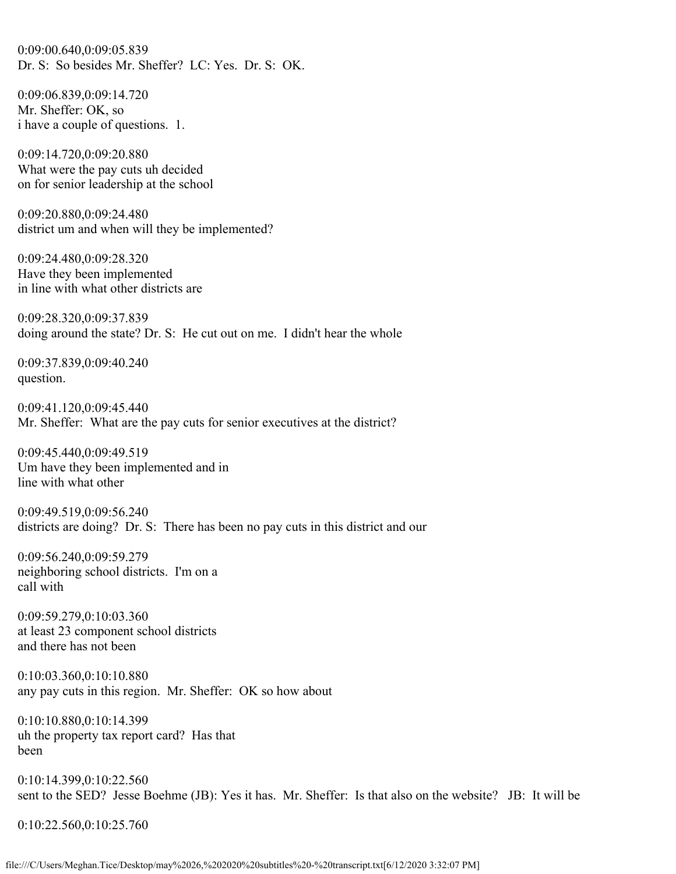0:09:00.640,0:09:05.839 Dr. S: So besides Mr. Sheffer? LC: Yes. Dr. S: OK.

0:09:06.839,0:09:14.720 Mr. Sheffer: OK, so i have a couple of questions. 1.

0:09:14.720,0:09:20.880 What were the pay cuts uh decided on for senior leadership at the school

0:09:20.880,0:09:24.480 district um and when will they be implemented?

0:09:24.480,0:09:28.320 Have they been implemented in line with what other districts are

0:09:28.320,0:09:37.839 doing around the state? Dr. S: He cut out on me. I didn't hear the whole

0:09:37.839,0:09:40.240 question.

0:09:41.120,0:09:45.440 Mr. Sheffer: What are the pay cuts for senior executives at the district?

0:09:45.440,0:09:49.519 Um have they been implemented and in line with what other

0:09:49.519,0:09:56.240 districts are doing? Dr. S: There has been no pay cuts in this district and our

0:09:56.240,0:09:59.279 neighboring school districts. I'm on a call with

0:09:59.279,0:10:03.360 at least 23 component school districts and there has not been

0:10:03.360,0:10:10.880 any pay cuts in this region. Mr. Sheffer: OK so how about

0:10:10.880,0:10:14.399 uh the property tax report card? Has that been

0:10:14.399,0:10:22.560 sent to the SED? Jesse Boehme (JB): Yes it has. Mr. Sheffer: Is that also on the website? JB: It will be

0:10:22.560,0:10:25.760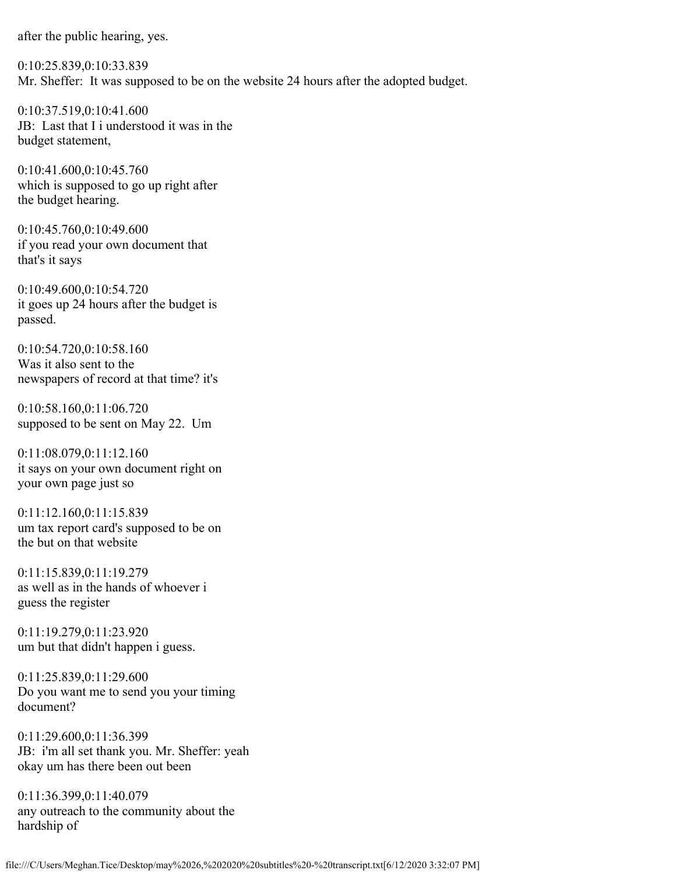after the public hearing, yes.

0:10:25.839,0:10:33.839 Mr. Sheffer: It was supposed to be on the website 24 hours after the adopted budget.

0:10:37.519,0:10:41.600 JB: Last that I i understood it was in the budget statement,

0:10:41.600,0:10:45.760 which is supposed to go up right after the budget hearing.

0:10:45.760,0:10:49.600 if you read your own document that that's it says

0:10:49.600,0:10:54.720 it goes up 24 hours after the budget is passed.

0:10:54.720,0:10:58.160 Was it also sent to the newspapers of record at that time? it's

0:10:58.160,0:11:06.720 supposed to be sent on May 22. Um

0:11:08.079,0:11:12.160 it says on your own document right on your own page just so

0:11:12.160,0:11:15.839 um tax report card's supposed to be on the but on that website

0:11:15.839,0:11:19.279 as well as in the hands of whoever i guess the register

0:11:19.279,0:11:23.920 um but that didn't happen i guess.

0:11:25.839,0:11:29.600 Do you want me to send you your timing document?

0:11:29.600,0:11:36.399 JB: i'm all set thank you. Mr. Sheffer: yeah okay um has there been out been

0:11:36.399,0:11:40.079 any outreach to the community about the hardship of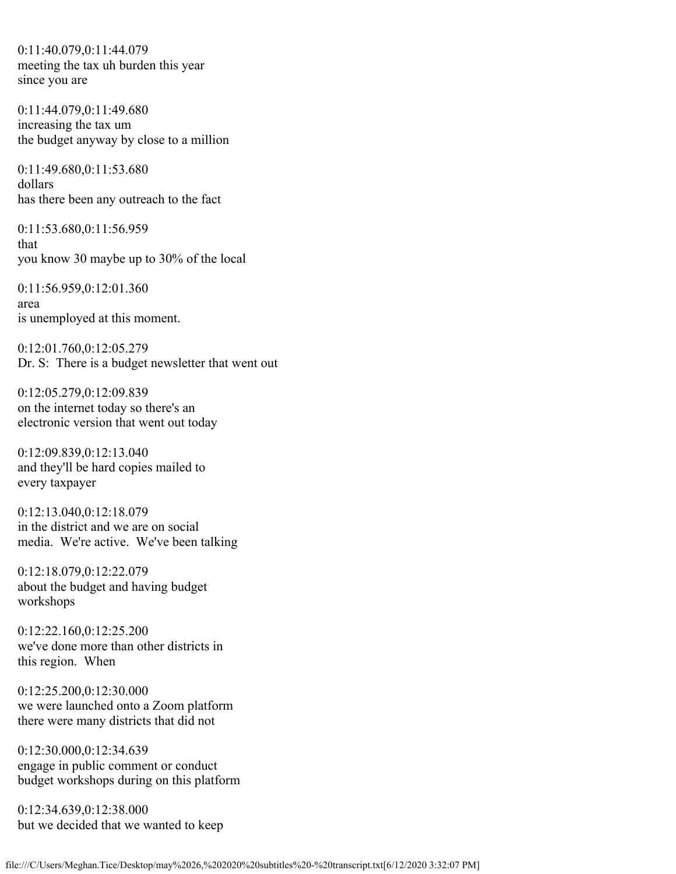0:11:40.079,0:11:44.079 meeting the tax uh burden this year since you are

0:11:44.079,0:11:49.680 increasing the tax um the budget anyway by close to a million

0:11:49.680,0:11:53.680 dollars has there been any outreach to the fact

0:11:53.680,0:11:56.959 that you know 30 maybe up to 30% of the local

0:11:56.959,0:12:01.360 area is unemployed at this moment.

0:12:01.760,0:12:05.279 Dr. S: There is a budget newsletter that went out

0:12:05.279,0:12:09.839 on the internet today so there's an electronic version that went out today

0:12:09.839,0:12:13.040 and they'll be hard copies mailed to every taxpayer

0:12:13.040,0:12:18.079 in the district and we are on social media. We're active. We've been talking

0:12:18.079,0:12:22.079 about the budget and having budget workshops

0:12:22.160,0:12:25.200 we've done more than other districts in this region. When

0:12:25.200,0:12:30.000 we were launched onto a Zoom platform there were many districts that did not

0:12:30.000,0:12:34.639 engage in public comment or conduct budget workshops during on this platform

0:12:34.639,0:12:38.000 but we decided that we wanted to keep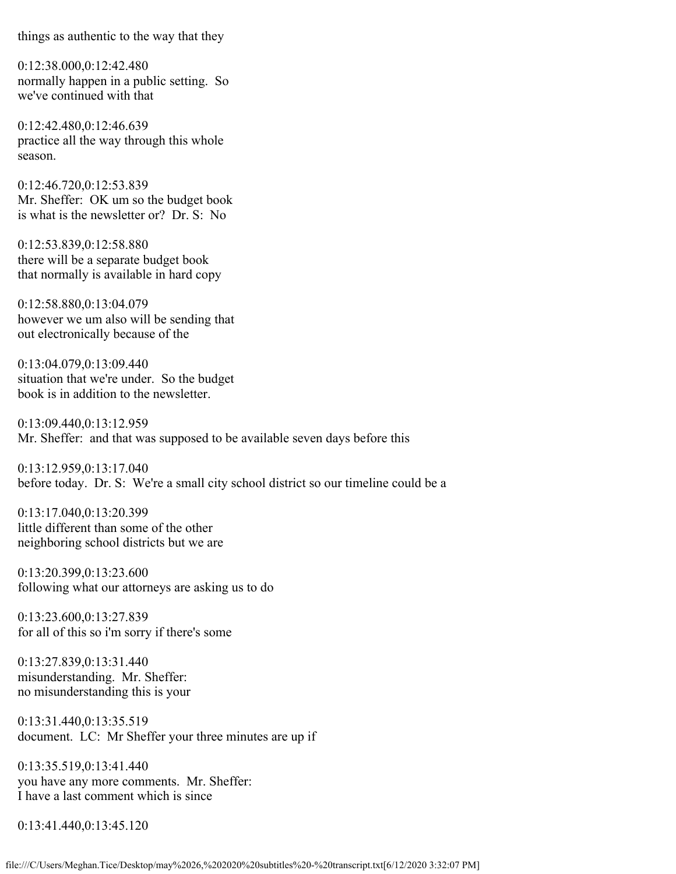things as authentic to the way that they

0:12:38.000,0:12:42.480 normally happen in a public setting. So we've continued with that

0:12:42.480,0:12:46.639 practice all the way through this whole season.

0:12:46.720,0:12:53.839 Mr. Sheffer: OK um so the budget book is what is the newsletter or? Dr. S: No

0:12:53.839,0:12:58.880 there will be a separate budget book that normally is available in hard copy

0:12:58.880,0:13:04.079 however we um also will be sending that out electronically because of the

0:13:04.079,0:13:09.440 situation that we're under. So the budget book is in addition to the newsletter.

0:13:09.440,0:13:12.959 Mr. Sheffer: and that was supposed to be available seven days before this

0:13:12.959,0:13:17.040 before today. Dr. S: We're a small city school district so our timeline could be a

0:13:17.040,0:13:20.399 little different than some of the other neighboring school districts but we are

0:13:20.399,0:13:23.600 following what our attorneys are asking us to do

0:13:23.600,0:13:27.839 for all of this so i'm sorry if there's some

0:13:27.839,0:13:31.440 misunderstanding. Mr. Sheffer: no misunderstanding this is your

0:13:31.440,0:13:35.519 document. LC: Mr Sheffer your three minutes are up if

0:13:35.519,0:13:41.440 you have any more comments. Mr. Sheffer: I have a last comment which is since

0:13:41.440,0:13:45.120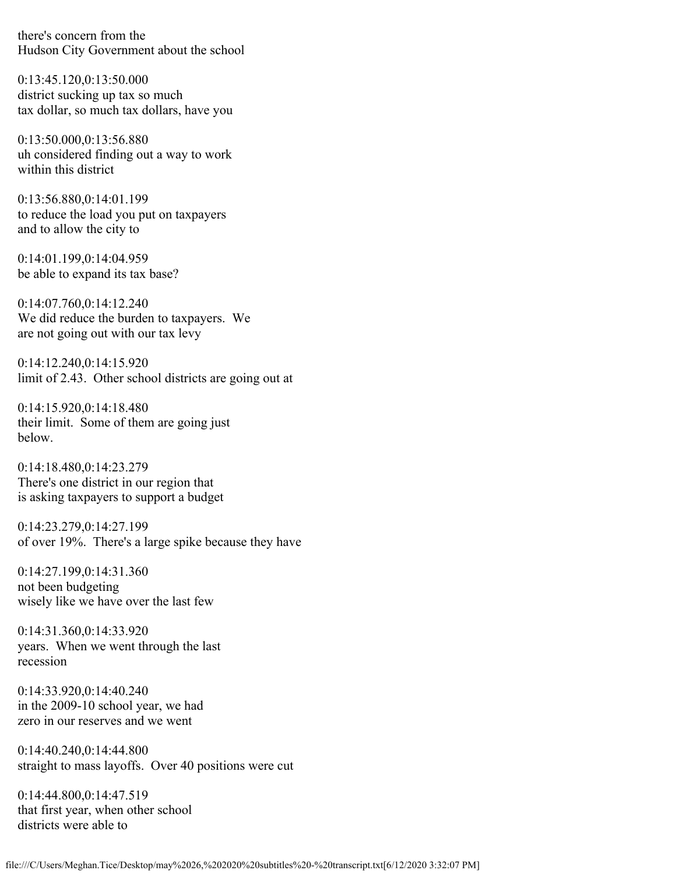there's concern from the Hudson City Government about the school

0:13:45.120,0:13:50.000 district sucking up tax so much tax dollar, so much tax dollars, have you

0:13:50.000,0:13:56.880 uh considered finding out a way to work within this district

0:13:56.880,0:14:01.199 to reduce the load you put on taxpayers and to allow the city to

0:14:01.199,0:14:04.959 be able to expand its tax base?

0:14:07.760,0:14:12.240 We did reduce the burden to taxpayers. We are not going out with our tax levy

0:14:12.240,0:14:15.920 limit of 2.43. Other school districts are going out at

0:14:15.920,0:14:18.480 their limit. Some of them are going just below.

0:14:18.480,0:14:23.279 There's one district in our region that is asking taxpayers to support a budget

0:14:23.279,0:14:27.199 of over 19%. There's a large spike because they have

0:14:27.199,0:14:31.360 not been budgeting wisely like we have over the last few

0:14:31.360,0:14:33.920 years. When we went through the last recession

0:14:33.920,0:14:40.240 in the 2009-10 school year, we had zero in our reserves and we went

0:14:40.240,0:14:44.800 straight to mass layoffs. Over 40 positions were cut

0:14:44.800,0:14:47.519 that first year, when other school districts were able to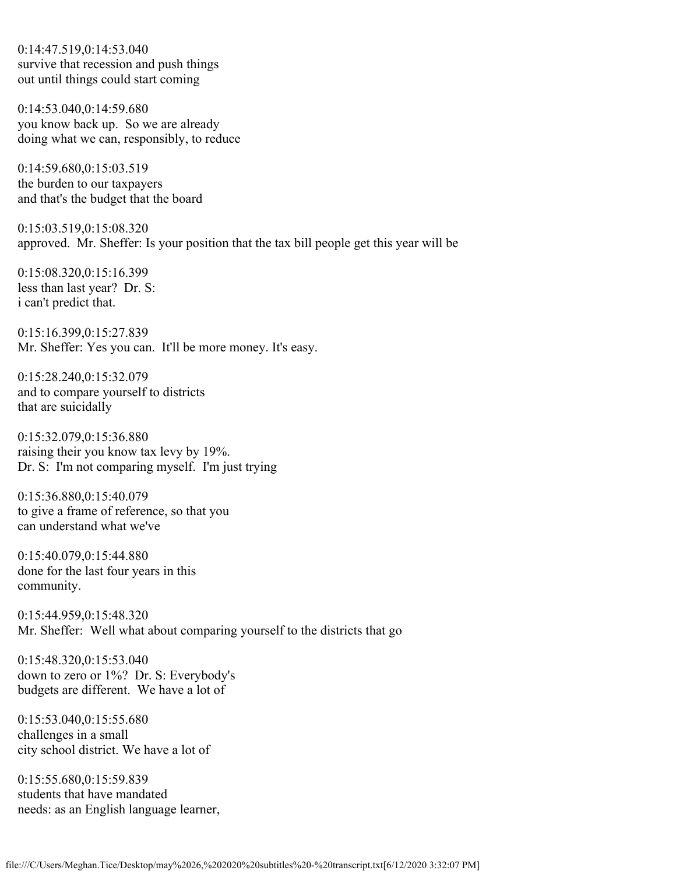0:14:47.519,0:14:53.040 survive that recession and push things out until things could start coming

0:14:53.040,0:14:59.680 you know back up. So we are already doing what we can, responsibly, to reduce

0:14:59.680,0:15:03.519 the burden to our taxpayers and that's the budget that the board

0:15:03.519,0:15:08.320 approved. Mr. Sheffer: Is your position that the tax bill people get this year will be

0:15:08.320,0:15:16.399 less than last year? Dr. S: i can't predict that.

0:15:16.399,0:15:27.839 Mr. Sheffer: Yes you can. It'll be more money. It's easy.

0:15:28.240,0:15:32.079 and to compare yourself to districts that are suicidally

0:15:32.079,0:15:36.880 raising their you know tax levy by 19%. Dr. S: I'm not comparing myself. I'm just trying

0:15:36.880,0:15:40.079 to give a frame of reference, so that you can understand what we've

0:15:40.079,0:15:44.880 done for the last four years in this community.

0:15:44.959,0:15:48.320 Mr. Sheffer: Well what about comparing yourself to the districts that go

0:15:48.320,0:15:53.040 down to zero or 1%? Dr. S: Everybody's budgets are different. We have a lot of

0:15:53.040,0:15:55.680 challenges in a small city school district. We have a lot of

0:15:55.680,0:15:59.839 students that have mandated needs: as an English language learner,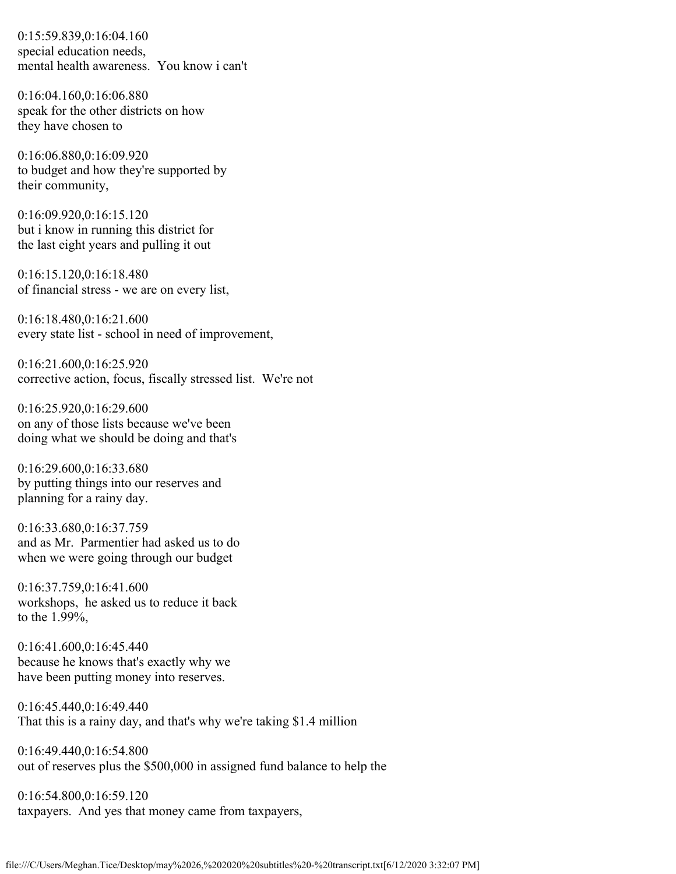0:15:59.839,0:16:04.160 special education needs, mental health awareness. You know i can't

0:16:04.160,0:16:06.880 speak for the other districts on how they have chosen to

0:16:06.880,0:16:09.920 to budget and how they're supported by their community,

0:16:09.920,0:16:15.120 but i know in running this district for the last eight years and pulling it out

0:16:15.120,0:16:18.480 of financial stress - we are on every list,

0:16:18.480,0:16:21.600 every state list - school in need of improvement,

0:16:21.600,0:16:25.920 corrective action, focus, fiscally stressed list. We're not

0:16:25.920,0:16:29.600 on any of those lists because we've been doing what we should be doing and that's

0:16:29.600,0:16:33.680 by putting things into our reserves and planning for a rainy day.

0:16:33.680,0:16:37.759 and as Mr. Parmentier had asked us to do when we were going through our budget

0:16:37.759,0:16:41.600 workshops, he asked us to reduce it back to the 1.99%,

0:16:41.600,0:16:45.440 because he knows that's exactly why we have been putting money into reserves.

0:16:45.440,0:16:49.440 That this is a rainy day, and that's why we're taking \$1.4 million

0:16:49.440,0:16:54.800 out of reserves plus the \$500,000 in assigned fund balance to help the

0:16:54.800,0:16:59.120 taxpayers. And yes that money came from taxpayers,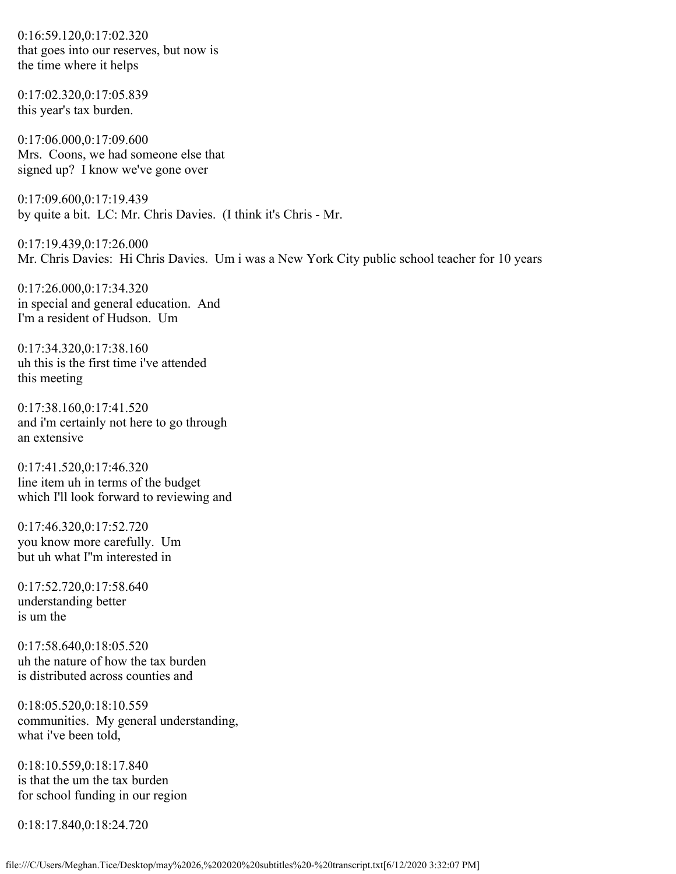0:16:59.120,0:17:02.320 that goes into our reserves, but now is the time where it helps

0:17:02.320,0:17:05.839 this year's tax burden.

0:17:06.000,0:17:09.600 Mrs. Coons, we had someone else that signed up? I know we've gone over

0:17:09.600,0:17:19.439 by quite a bit. LC: Mr. Chris Davies. (I think it's Chris - Mr.

0:17:19.439,0:17:26.000 Mr. Chris Davies: Hi Chris Davies. Um i was a New York City public school teacher for 10 years

0:17:26.000,0:17:34.320 in special and general education. And I'm a resident of Hudson. Um

0:17:34.320,0:17:38.160 uh this is the first time i've attended this meeting

0:17:38.160,0:17:41.520 and i'm certainly not here to go through an extensive

0:17:41.520,0:17:46.320 line item uh in terms of the budget which I'll look forward to reviewing and

0:17:46.320,0:17:52.720 you know more carefully. Um but uh what I''m interested in

0:17:52.720,0:17:58.640 understanding better is um the

0:17:58.640,0:18:05.520 uh the nature of how the tax burden is distributed across counties and

0:18:05.520,0:18:10.559 communities. My general understanding, what i've been told,

0:18:10.559,0:18:17.840 is that the um the tax burden for school funding in our region

0:18:17.840,0:18:24.720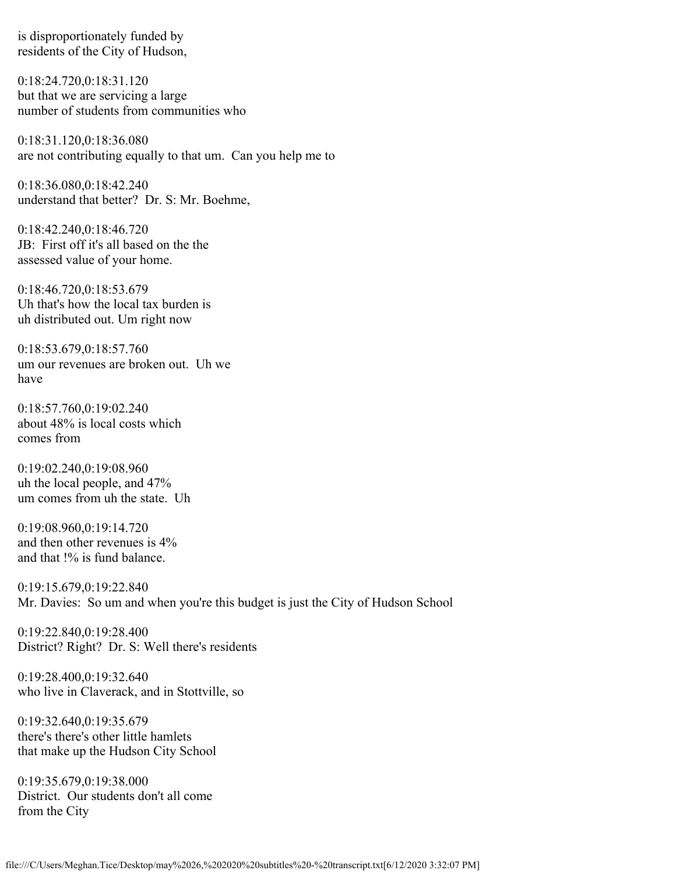is disproportionately funded by residents of the City of Hudson,

0:18:24.720,0:18:31.120 but that we are servicing a large number of students from communities who

0:18:31.120,0:18:36.080 are not contributing equally to that um. Can you help me to

0:18:36.080,0:18:42.240 understand that better? Dr. S: Mr. Boehme,

0:18:42.240,0:18:46.720 JB: First off it's all based on the the assessed value of your home.

0:18:46.720,0:18:53.679 Uh that's how the local tax burden is uh distributed out. Um right now

0:18:53.679,0:18:57.760 um our revenues are broken out. Uh we have

0:18:57.760,0:19:02.240 about 48% is local costs which comes from

0:19:02.240,0:19:08.960 uh the local people, and 47% um comes from uh the state. Uh

0:19:08.960,0:19:14.720 and then other revenues is 4% and that !% is fund balance.

0:19:15.679,0:19:22.840 Mr. Davies: So um and when you're this budget is just the City of Hudson School

0:19:22.840,0:19:28.400 District? Right? Dr. S: Well there's residents

0:19:28.400,0:19:32.640 who live in Claverack, and in Stottville, so

0:19:32.640,0:19:35.679 there's there's other little hamlets that make up the Hudson City School

0:19:35.679,0:19:38.000 District. Our students don't all come from the City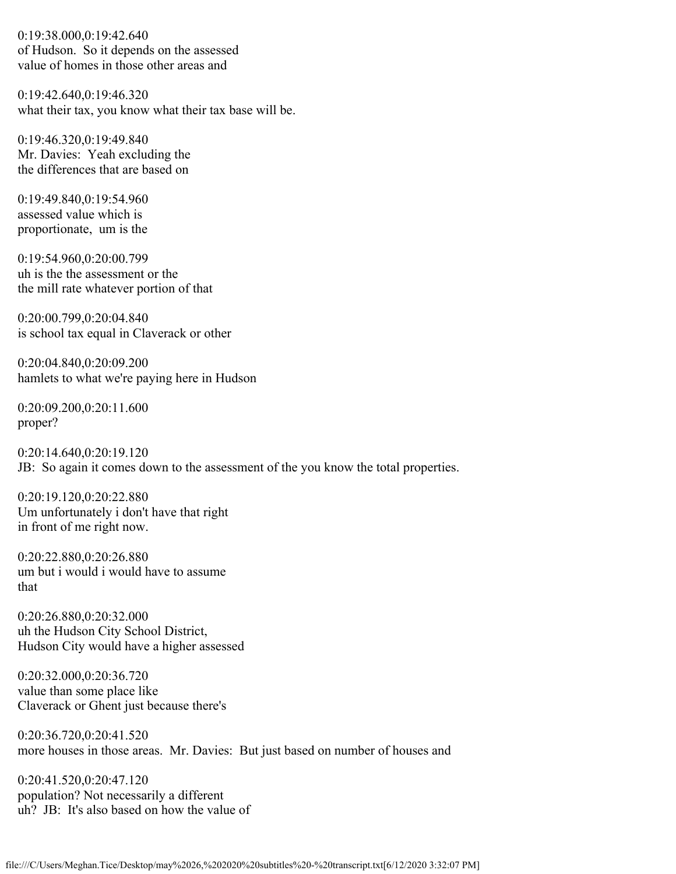0:19:38.000,0:19:42.640 of Hudson. So it depends on the assessed value of homes in those other areas and

0:19:42.640,0:19:46.320 what their tax, you know what their tax base will be.

0:19:46.320,0:19:49.840 Mr. Davies: Yeah excluding the the differences that are based on

0:19:49.840,0:19:54.960 assessed value which is proportionate, um is the

0:19:54.960,0:20:00.799 uh is the the assessment or the the mill rate whatever portion of that

0:20:00.799,0:20:04.840 is school tax equal in Claverack or other

0:20:04.840,0:20:09.200 hamlets to what we're paying here in Hudson

0:20:09.200,0:20:11.600 proper?

0:20:14.640,0:20:19.120 JB: So again it comes down to the assessment of the you know the total properties.

0:20:19.120,0:20:22.880 Um unfortunately i don't have that right in front of me right now.

0:20:22.880,0:20:26.880 um but i would i would have to assume that

0:20:26.880,0:20:32.000 uh the Hudson City School District, Hudson City would have a higher assessed

0:20:32.000,0:20:36.720 value than some place like Claverack or Ghent just because there's

0:20:36.720,0:20:41.520 more houses in those areas. Mr. Davies: But just based on number of houses and

0:20:41.520,0:20:47.120 population? Not necessarily a different uh? JB: It's also based on how the value of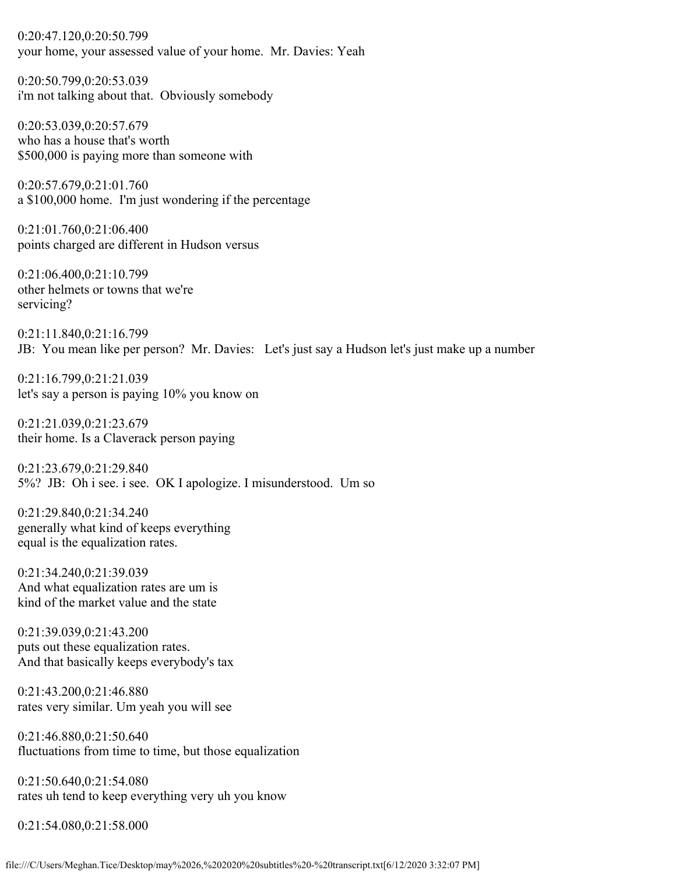0:20:47.120,0:20:50.799 your home, your assessed value of your home. Mr. Davies: Yeah

0:20:50.799,0:20:53.039 i'm not talking about that. Obviously somebody

0:20:53.039,0:20:57.679 who has a house that's worth \$500,000 is paying more than someone with

0:20:57.679,0:21:01.760 a \$100,000 home. I'm just wondering if the percentage

0:21:01.760,0:21:06.400 points charged are different in Hudson versus

0:21:06.400,0:21:10.799 other helmets or towns that we're servicing?

0:21:11.840,0:21:16.799 JB: You mean like per person? Mr. Davies: Let's just say a Hudson let's just make up a number

0:21:16.799,0:21:21.039 let's say a person is paying 10% you know on

0:21:21.039,0:21:23.679 their home. Is a Claverack person paying

0:21:23.679,0:21:29.840 5%? JB: Oh i see. i see. OK I apologize. I misunderstood. Um so

0:21:29.840,0:21:34.240 generally what kind of keeps everything equal is the equalization rates.

0:21:34.240,0:21:39.039 And what equalization rates are um is kind of the market value and the state

0:21:39.039,0:21:43.200 puts out these equalization rates. And that basically keeps everybody's tax

0:21:43.200,0:21:46.880 rates very similar. Um yeah you will see

0:21:46.880,0:21:50.640 fluctuations from time to time, but those equalization

0:21:50.640,0:21:54.080 rates uh tend to keep everything very uh you know

0:21:54.080,0:21:58.000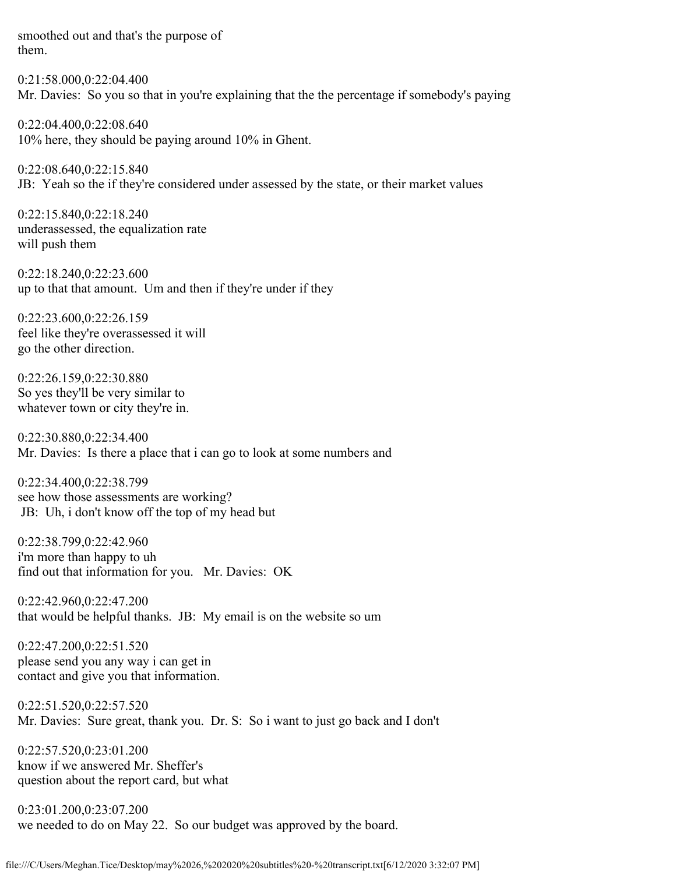smoothed out and that's the purpose of them.

0:21:58.000,0:22:04.400 Mr. Davies: So you so that in you're explaining that the the percentage if somebody's paying

0:22:04.400,0:22:08.640 10% here, they should be paying around 10% in Ghent.

0:22:08.640,0:22:15.840 JB: Yeah so the if they're considered under assessed by the state, or their market values

0:22:15.840,0:22:18.240 underassessed, the equalization rate will push them

0:22:18.240,0:22:23.600 up to that that amount. Um and then if they're under if they

0:22:23.600,0:22:26.159 feel like they're overassessed it will go the other direction.

0:22:26.159,0:22:30.880 So yes they'll be very similar to whatever town or city they're in.

0:22:30.880,0:22:34.400 Mr. Davies: Is there a place that i can go to look at some numbers and

0:22:34.400,0:22:38.799 see how those assessments are working? JB: Uh, i don't know off the top of my head but

0:22:38.799,0:22:42.960 i'm more than happy to uh find out that information for you. Mr. Davies: OK

0:22:42.960,0:22:47.200 that would be helpful thanks. JB: My email is on the website so um

0:22:47.200,0:22:51.520 please send you any way i can get in contact and give you that information.

0:22:51.520,0:22:57.520 Mr. Davies: Sure great, thank you. Dr. S: So i want to just go back and I don't

0:22:57.520,0:23:01.200 know if we answered Mr. Sheffer's question about the report card, but what

0:23:01.200,0:23:07.200 we needed to do on May 22. So our budget was approved by the board.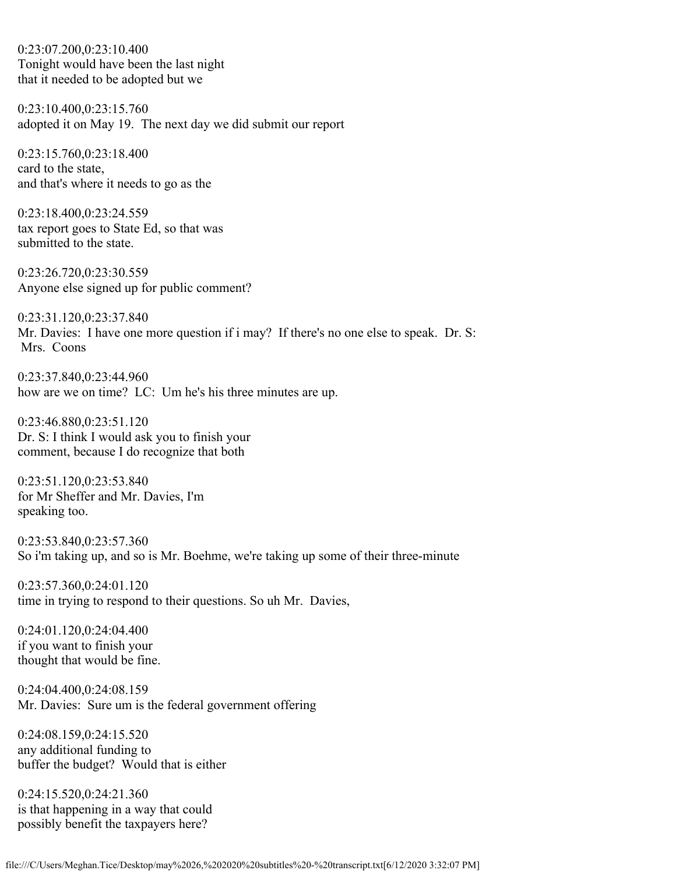0:23:07.200,0:23:10.400 Tonight would have been the last night that it needed to be adopted but we

0:23:10.400,0:23:15.760 adopted it on May 19. The next day we did submit our report

0:23:15.760,0:23:18.400 card to the state, and that's where it needs to go as the

0:23:18.400,0:23:24.559 tax report goes to State Ed, so that was submitted to the state.

0:23:26.720,0:23:30.559 Anyone else signed up for public comment?

0:23:31.120,0:23:37.840 Mr. Davies: I have one more question if i may? If there's no one else to speak. Dr. S: Mrs. Coons

0:23:37.840,0:23:44.960 how are we on time? LC: Um he's his three minutes are up.

0:23:46.880,0:23:51.120 Dr. S: I think I would ask you to finish your comment, because I do recognize that both

0:23:51.120,0:23:53.840 for Mr Sheffer and Mr. Davies, I'm speaking too.

0:23:53.840,0:23:57.360 So i'm taking up, and so is Mr. Boehme, we're taking up some of their three-minute

0:23:57.360,0:24:01.120 time in trying to respond to their questions. So uh Mr. Davies,

0:24:01.120,0:24:04.400 if you want to finish your thought that would be fine.

0:24:04.400,0:24:08.159 Mr. Davies: Sure um is the federal government offering

0:24:08.159,0:24:15.520 any additional funding to buffer the budget? Would that is either

0:24:15.520,0:24:21.360 is that happening in a way that could possibly benefit the taxpayers here?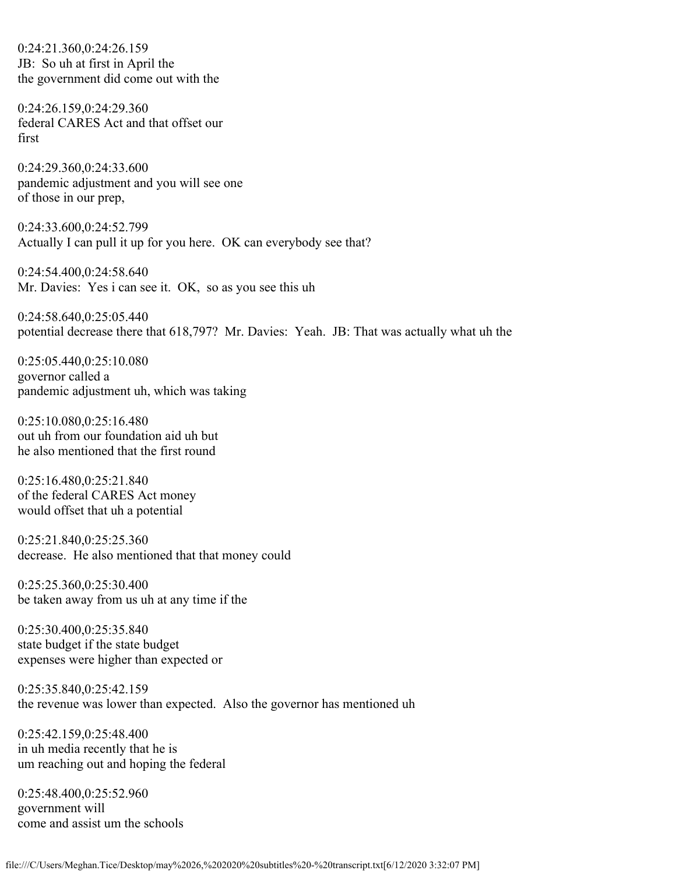0:24:21.360,0:24:26.159 JB: So uh at first in April the the government did come out with the

0:24:26.159,0:24:29.360 federal CARES Act and that offset our first

0:24:29.360,0:24:33.600 pandemic adjustment and you will see one of those in our prep,

0:24:33.600,0:24:52.799 Actually I can pull it up for you here. OK can everybody see that?

0:24:54.400,0:24:58.640 Mr. Davies: Yes i can see it. OK, so as you see this uh

0:24:58.640,0:25:05.440 potential decrease there that 618,797? Mr. Davies: Yeah. JB: That was actually what uh the

0:25:05.440,0:25:10.080 governor called a pandemic adjustment uh, which was taking

0:25:10.080,0:25:16.480 out uh from our foundation aid uh but he also mentioned that the first round

0:25:16.480,0:25:21.840 of the federal CARES Act money would offset that uh a potential

0:25:21.840,0:25:25.360 decrease. He also mentioned that that money could

0:25:25.360,0:25:30.400 be taken away from us uh at any time if the

0:25:30.400,0:25:35.840 state budget if the state budget expenses were higher than expected or

0:25:35.840,0:25:42.159 the revenue was lower than expected. Also the governor has mentioned uh

0:25:42.159,0:25:48.400 in uh media recently that he is um reaching out and hoping the federal

0:25:48.400,0:25:52.960 government will come and assist um the schools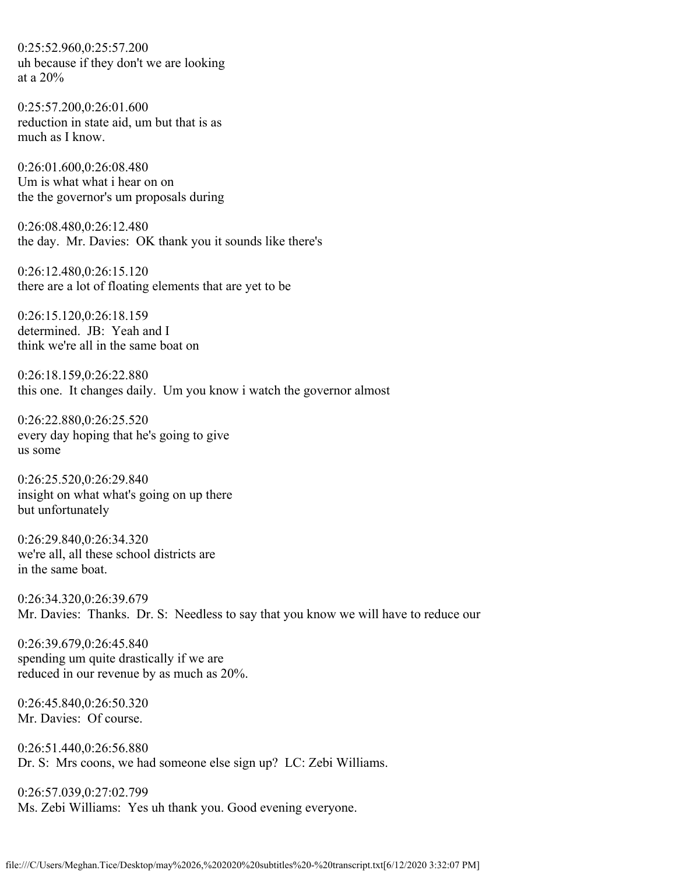0:25:52.960,0:25:57.200 uh because if they don't we are looking at a 20%

0:25:57.200,0:26:01.600 reduction in state aid, um but that is as much as I know.

0:26:01.600,0:26:08.480 Um is what what i hear on on the the governor's um proposals during

0:26:08.480,0:26:12.480 the day. Mr. Davies: OK thank you it sounds like there's

0:26:12.480,0:26:15.120 there are a lot of floating elements that are yet to be

0:26:15.120,0:26:18.159 determined. JB: Yeah and I think we're all in the same boat on

0:26:18.159,0:26:22.880 this one. It changes daily. Um you know i watch the governor almost

0:26:22.880,0:26:25.520 every day hoping that he's going to give us some

0:26:25.520,0:26:29.840 insight on what what's going on up there but unfortunately

0:26:29.840,0:26:34.320 we're all, all these school districts are in the same boat.

0:26:34.320,0:26:39.679 Mr. Davies: Thanks. Dr. S: Needless to say that you know we will have to reduce our

0:26:39.679,0:26:45.840 spending um quite drastically if we are reduced in our revenue by as much as 20%.

0:26:45.840,0:26:50.320 Mr. Davies: Of course.

0:26:51.440,0:26:56.880 Dr. S: Mrs coons, we had someone else sign up? LC: Zebi Williams.

0:26:57.039,0:27:02.799 Ms. Zebi Williams: Yes uh thank you. Good evening everyone.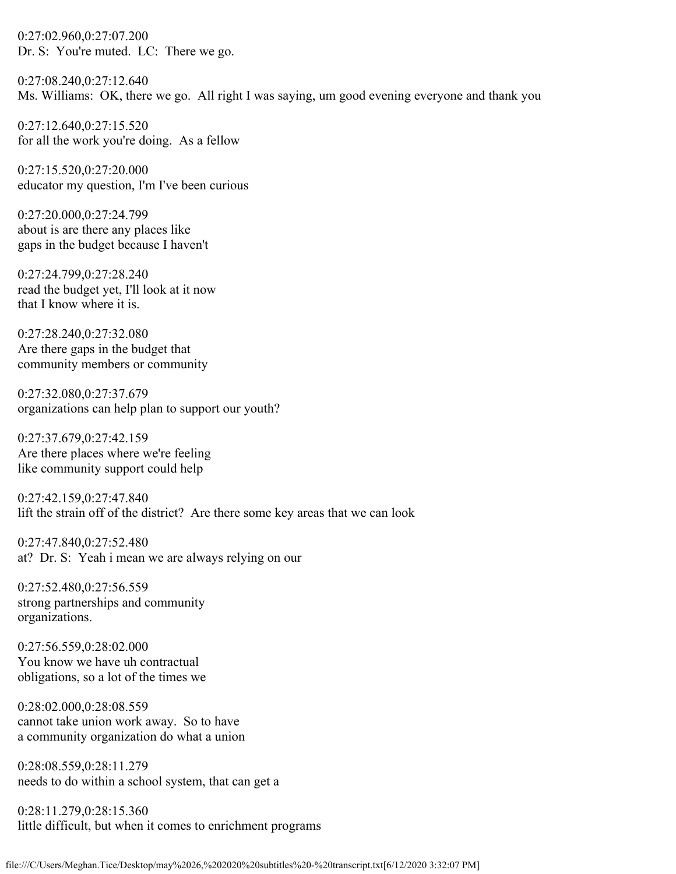0:27:02.960,0:27:07.200 Dr. S: You're muted. LC: There we go.

0:27:08.240,0:27:12.640 Ms. Williams: OK, there we go. All right I was saying, um good evening everyone and thank you

0:27:12.640,0:27:15.520 for all the work you're doing. As a fellow

0:27:15.520,0:27:20.000 educator my question, I'm I've been curious

0:27:20.000,0:27:24.799 about is are there any places like gaps in the budget because I haven't

0:27:24.799,0:27:28.240 read the budget yet, I'll look at it now that I know where it is.

0:27:28.240,0:27:32.080 Are there gaps in the budget that community members or community

0:27:32.080,0:27:37.679 organizations can help plan to support our youth?

0:27:37.679,0:27:42.159 Are there places where we're feeling like community support could help

0:27:42.159,0:27:47.840 lift the strain off of the district? Are there some key areas that we can look

0:27:47.840,0:27:52.480 at? Dr. S: Yeah i mean we are always relying on our

0:27:52.480,0:27:56.559 strong partnerships and community organizations.

0:27:56.559,0:28:02.000 You know we have uh contractual obligations, so a lot of the times we

0:28:02.000,0:28:08.559 cannot take union work away. So to have a community organization do what a union

0:28:08.559,0:28:11.279 needs to do within a school system, that can get a

0:28:11.279,0:28:15.360 little difficult, but when it comes to enrichment programs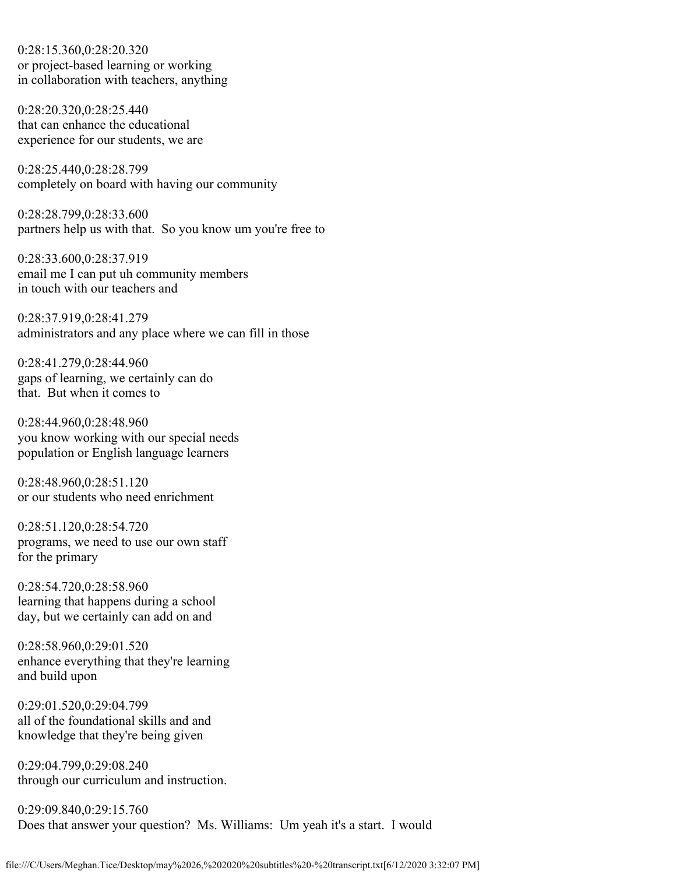0:28:15.360,0:28:20.320 or project-based learning or working in collaboration with teachers, anything

0:28:20.320,0:28:25.440 that can enhance the educational experience for our students, we are

0:28:25.440,0:28:28.799 completely on board with having our community

0:28:28.799,0:28:33.600 partners help us with that. So you know um you're free to

0:28:33.600,0:28:37.919 email me I can put uh community members in touch with our teachers and

0:28:37.919,0:28:41.279 administrators and any place where we can fill in those

0:28:41.279,0:28:44.960 gaps of learning, we certainly can do that. But when it comes to

0:28:44.960,0:28:48.960 you know working with our special needs population or English language learners

0:28:48.960,0:28:51.120 or our students who need enrichment

0:28:51.120,0:28:54.720 programs, we need to use our own staff for the primary

0:28:54.720,0:28:58.960 learning that happens during a school day, but we certainly can add on and

0:28:58.960,0:29:01.520 enhance everything that they're learning and build upon

0:29:01.520,0:29:04.799 all of the foundational skills and and knowledge that they're being given

0:29:04.799,0:29:08.240 through our curriculum and instruction.

0:29:09.840,0:29:15.760 Does that answer your question? Ms. Williams: Um yeah it's a start. I would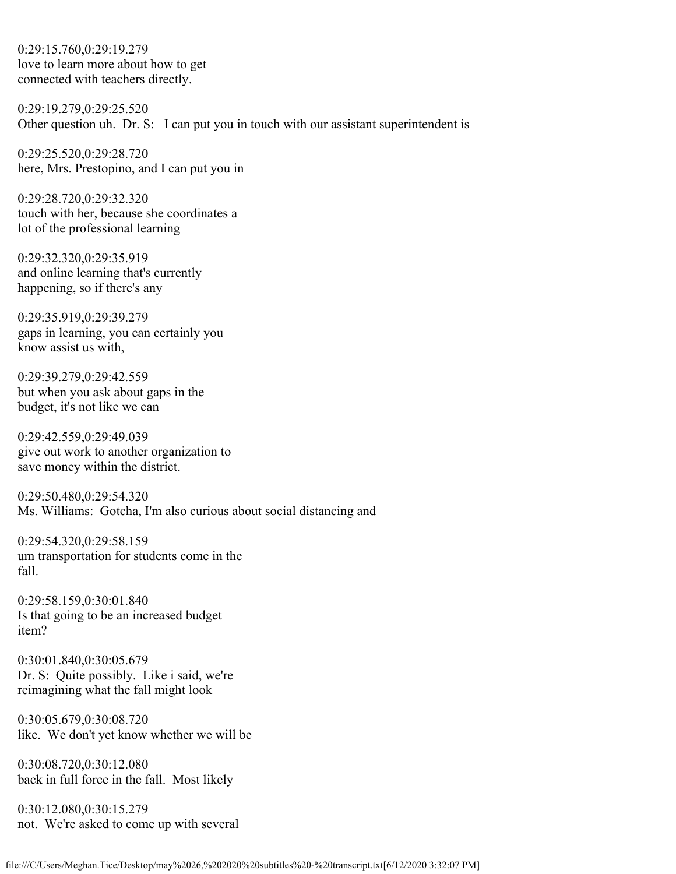0:29:15.760,0:29:19.279 love to learn more about how to get connected with teachers directly.

0:29:19.279,0:29:25.520 Other question uh. Dr. S: I can put you in touch with our assistant superintendent is

0:29:25.520,0:29:28.720 here, Mrs. Prestopino, and I can put you in

0:29:28.720,0:29:32.320 touch with her, because she coordinates a lot of the professional learning

0:29:32.320,0:29:35.919 and online learning that's currently happening, so if there's any

0:29:35.919,0:29:39.279 gaps in learning, you can certainly you know assist us with,

0:29:39.279,0:29:42.559 but when you ask about gaps in the budget, it's not like we can

0:29:42.559,0:29:49.039 give out work to another organization to save money within the district.

0:29:50.480,0:29:54.320 Ms. Williams: Gotcha, I'm also curious about social distancing and

0:29:54.320,0:29:58.159 um transportation for students come in the fall.

0:29:58.159,0:30:01.840 Is that going to be an increased budget item?

0:30:01.840,0:30:05.679 Dr. S: Quite possibly. Like i said, we're reimagining what the fall might look

0:30:05.679,0:30:08.720 like. We don't yet know whether we will be

0:30:08.720,0:30:12.080 back in full force in the fall. Most likely

0:30:12.080,0:30:15.279 not. We're asked to come up with several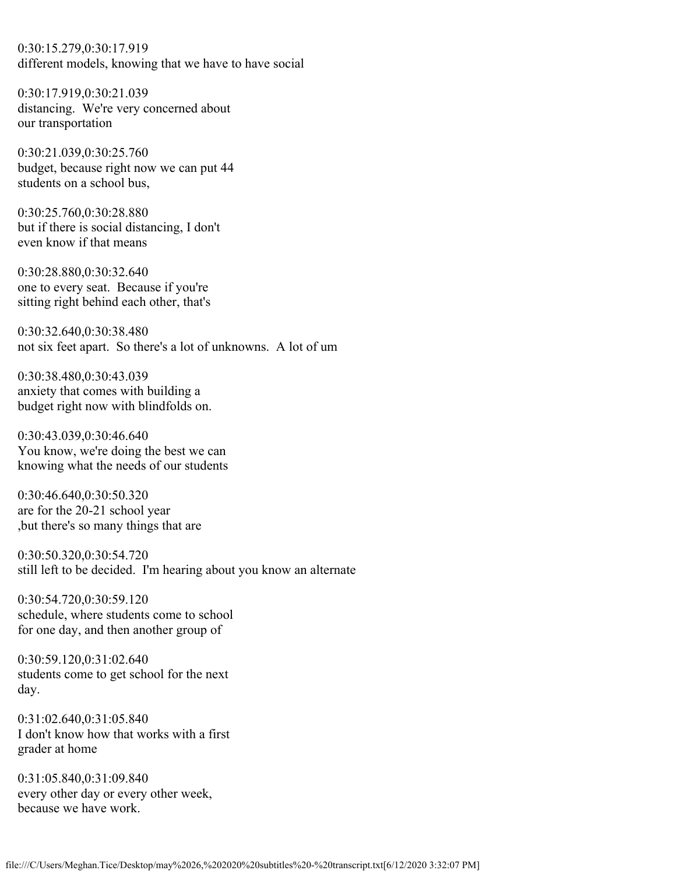0:30:15.279,0:30:17.919 different models, knowing that we have to have social

0:30:17.919,0:30:21.039 distancing. We're very concerned about our transportation

0:30:21.039,0:30:25.760 budget, because right now we can put 44 students on a school bus,

0:30:25.760,0:30:28.880 but if there is social distancing, I don't even know if that means

0:30:28.880,0:30:32.640 one to every seat. Because if you're sitting right behind each other, that's

0:30:32.640,0:30:38.480 not six feet apart. So there's a lot of unknowns. A lot of um

0:30:38.480,0:30:43.039 anxiety that comes with building a budget right now with blindfolds on.

0:30:43.039,0:30:46.640 You know, we're doing the best we can knowing what the needs of our students

0:30:46.640,0:30:50.320 are for the 20-21 school year ,but there's so many things that are

0:30:50.320,0:30:54.720 still left to be decided. I'm hearing about you know an alternate

0:30:54.720,0:30:59.120 schedule, where students come to school for one day, and then another group of

0:30:59.120,0:31:02.640 students come to get school for the next day.

0:31:02.640,0:31:05.840 I don't know how that works with a first grader at home

0:31:05.840,0:31:09.840 every other day or every other week, because we have work.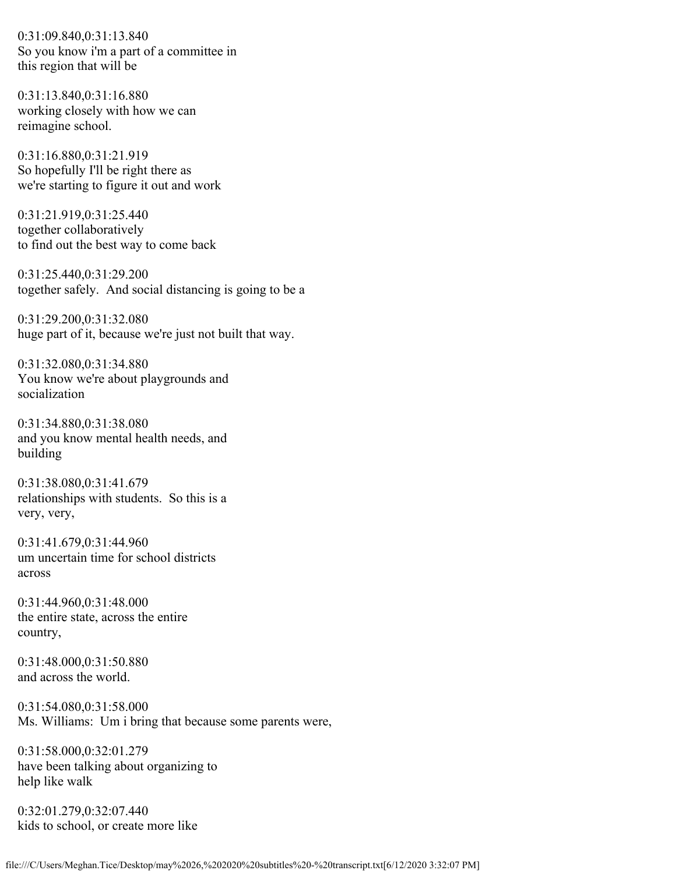0:31:09.840,0:31:13.840 So you know i'm a part of a committee in this region that will be

0:31:13.840,0:31:16.880 working closely with how we can reimagine school.

0:31:16.880,0:31:21.919 So hopefully I'll be right there as we're starting to figure it out and work

0:31:21.919,0:31:25.440 together collaboratively to find out the best way to come back

0:31:25.440,0:31:29.200 together safely. And social distancing is going to be a

0:31:29.200,0:31:32.080 huge part of it, because we're just not built that way.

0:31:32.080,0:31:34.880 You know we're about playgrounds and socialization

0:31:34.880,0:31:38.080 and you know mental health needs, and building

0:31:38.080,0:31:41.679 relationships with students. So this is a very, very,

0:31:41.679,0:31:44.960 um uncertain time for school districts across

0:31:44.960,0:31:48.000 the entire state, across the entire country,

0:31:48.000,0:31:50.880 and across the world.

0:31:54.080,0:31:58.000 Ms. Williams: Um i bring that because some parents were,

0:31:58.000,0:32:01.279 have been talking about organizing to help like walk

0:32:01.279,0:32:07.440 kids to school, or create more like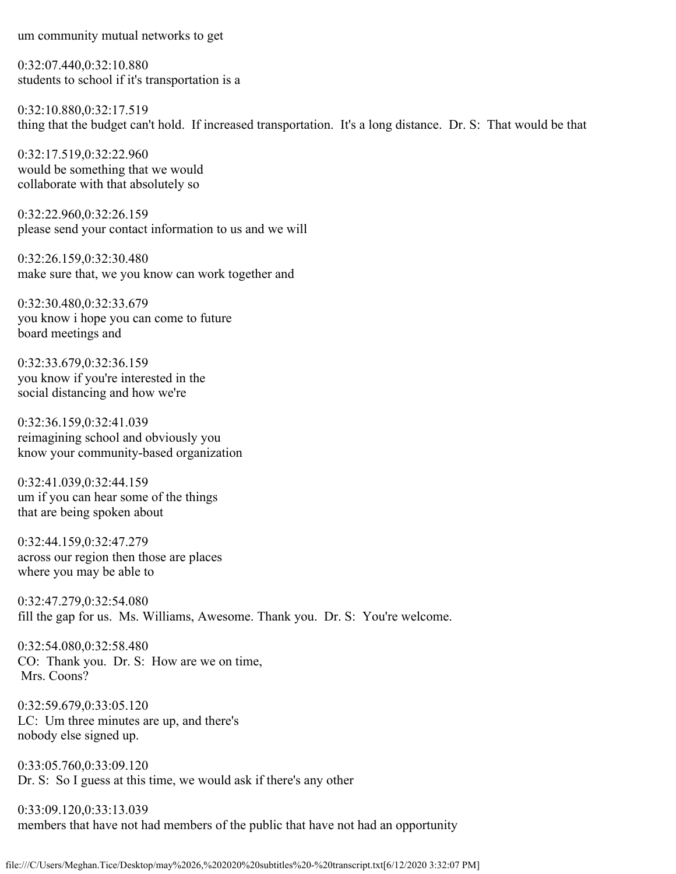um community mutual networks to get

0:32:07.440,0:32:10.880 students to school if it's transportation is a

0:32:10.880,0:32:17.519 thing that the budget can't hold. If increased transportation. It's a long distance. Dr. S: That would be that

0:32:17.519,0:32:22.960 would be something that we would collaborate with that absolutely so

0:32:22.960,0:32:26.159 please send your contact information to us and we will

0:32:26.159,0:32:30.480 make sure that, we you know can work together and

0:32:30.480,0:32:33.679 you know i hope you can come to future board meetings and

0:32:33.679,0:32:36.159 you know if you're interested in the social distancing and how we're

0:32:36.159,0:32:41.039 reimagining school and obviously you know your community-based organization

0:32:41.039,0:32:44.159 um if you can hear some of the things that are being spoken about

0:32:44.159,0:32:47.279 across our region then those are places where you may be able to

0:32:47.279,0:32:54.080 fill the gap for us. Ms. Williams, Awesome. Thank you. Dr. S: You're welcome.

0:32:54.080,0:32:58.480 CO: Thank you. Dr. S: How are we on time, Mrs. Coons?

0:32:59.679,0:33:05.120 LC: Um three minutes are up, and there's nobody else signed up.

0:33:05.760,0:33:09.120 Dr. S: So I guess at this time, we would ask if there's any other

0:33:09.120,0:33:13.039 members that have not had members of the public that have not had an opportunity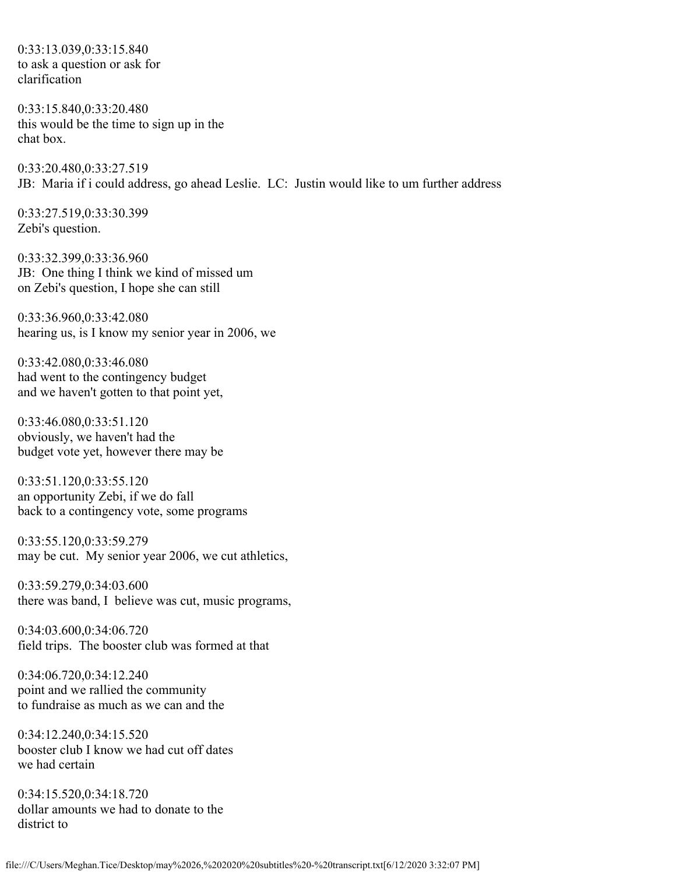0:33:13.039,0:33:15.840 to ask a question or ask for clarification

0:33:15.840,0:33:20.480 this would be the time to sign up in the chat box.

0:33:20.480,0:33:27.519 JB: Maria if i could address, go ahead Leslie. LC: Justin would like to um further address

0:33:27.519,0:33:30.399 Zebi's question.

0:33:32.399,0:33:36.960 JB: One thing I think we kind of missed um on Zebi's question, I hope she can still

0:33:36.960,0:33:42.080 hearing us, is I know my senior year in 2006, we

0:33:42.080,0:33:46.080 had went to the contingency budget and we haven't gotten to that point yet,

0:33:46.080,0:33:51.120 obviously, we haven't had the budget vote yet, however there may be

0:33:51.120,0:33:55.120 an opportunity Zebi, if we do fall back to a contingency vote, some programs

0:33:55.120,0:33:59.279 may be cut. My senior year 2006, we cut athletics,

0:33:59.279,0:34:03.600 there was band, I believe was cut, music programs,

0:34:03.600,0:34:06.720 field trips. The booster club was formed at that

0:34:06.720,0:34:12.240 point and we rallied the community to fundraise as much as we can and the

0:34:12.240,0:34:15.520 booster club I know we had cut off dates we had certain

0:34:15.520,0:34:18.720 dollar amounts we had to donate to the district to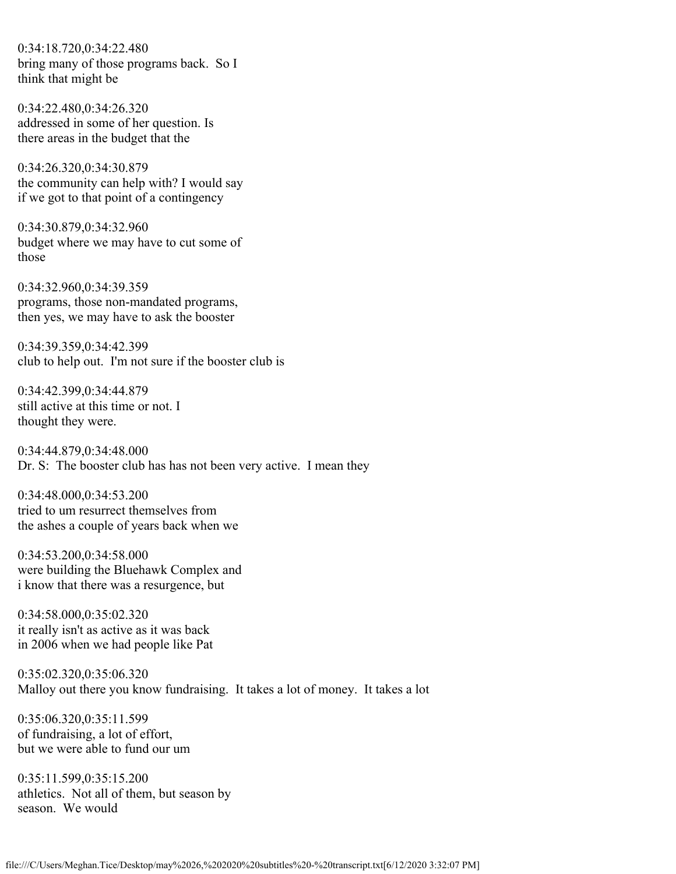0:34:18.720,0:34:22.480 bring many of those programs back. So I think that might be

0:34:22.480,0:34:26.320 addressed in some of her question. Is there areas in the budget that the

0:34:26.320,0:34:30.879 the community can help with? I would say if we got to that point of a contingency

0:34:30.879,0:34:32.960 budget where we may have to cut some of those

0:34:32.960,0:34:39.359 programs, those non-mandated programs, then yes, we may have to ask the booster

0:34:39.359,0:34:42.399 club to help out. I'm not sure if the booster club is

0:34:42.399,0:34:44.879 still active at this time or not. I thought they were.

0:34:44.879,0:34:48.000 Dr. S: The booster club has has not been very active. I mean they

0:34:48.000,0:34:53.200 tried to um resurrect themselves from the ashes a couple of years back when we

0:34:53.200,0:34:58.000 were building the Bluehawk Complex and i know that there was a resurgence, but

0:34:58.000,0:35:02.320 it really isn't as active as it was back in 2006 when we had people like Pat

0:35:02.320,0:35:06.320 Malloy out there you know fundraising. It takes a lot of money. It takes a lot

0:35:06.320,0:35:11.599 of fundraising, a lot of effort, but we were able to fund our um

0:35:11.599,0:35:15.200 athletics. Not all of them, but season by season. We would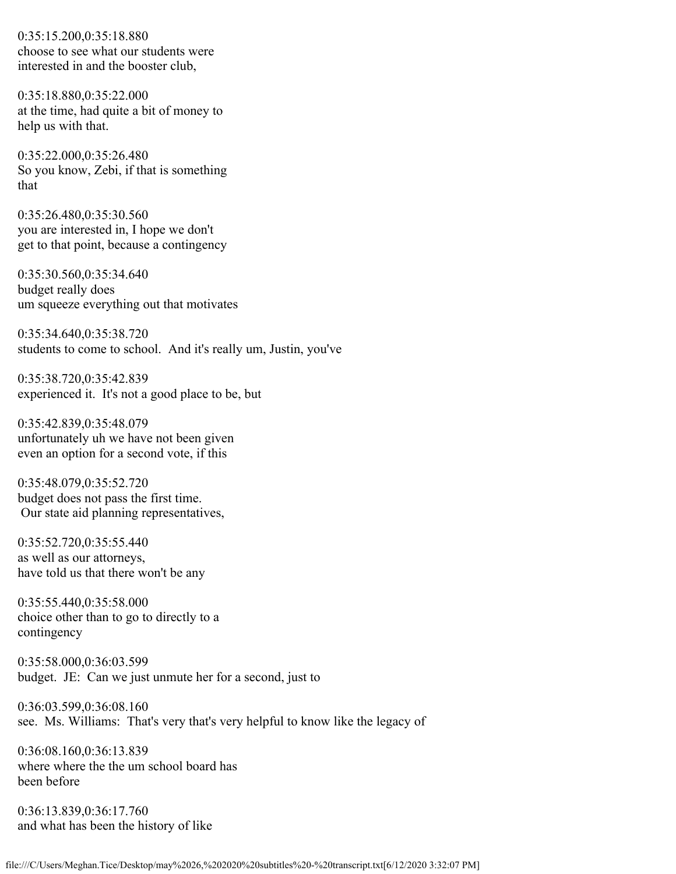0:35:15.200,0:35:18.880 choose to see what our students were interested in and the booster club,

0:35:18.880,0:35:22.000 at the time, had quite a bit of money to help us with that.

0:35:22.000,0:35:26.480 So you know, Zebi, if that is something that

0:35:26.480,0:35:30.560 you are interested in, I hope we don't get to that point, because a contingency

0:35:30.560,0:35:34.640 budget really does um squeeze everything out that motivates

0:35:34.640,0:35:38.720 students to come to school. And it's really um, Justin, you've

0:35:38.720,0:35:42.839 experienced it. It's not a good place to be, but

0:35:42.839,0:35:48.079 unfortunately uh we have not been given even an option for a second vote, if this

0:35:48.079,0:35:52.720 budget does not pass the first time. Our state aid planning representatives,

0:35:52.720,0:35:55.440 as well as our attorneys, have told us that there won't be any

0:35:55.440,0:35:58.000 choice other than to go to directly to a contingency

0:35:58.000,0:36:03.599 budget. JE: Can we just unmute her for a second, just to

0:36:03.599,0:36:08.160 see. Ms. Williams: That's very that's very helpful to know like the legacy of

0:36:08.160,0:36:13.839 where where the the um school board has been before

0:36:13.839,0:36:17.760 and what has been the history of like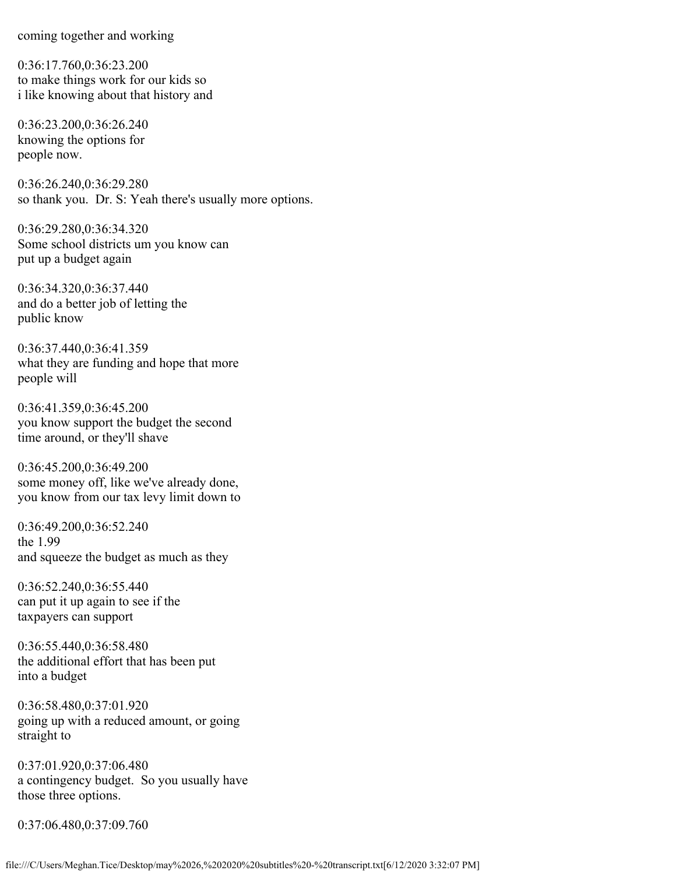coming together and working

0:36:17.760,0:36:23.200 to make things work for our kids so i like knowing about that history and

0:36:23.200,0:36:26.240 knowing the options for people now.

0:36:26.240,0:36:29.280 so thank you. Dr. S: Yeah there's usually more options.

0:36:29.280,0:36:34.320 Some school districts um you know can put up a budget again

0:36:34.320,0:36:37.440 and do a better job of letting the public know

0:36:37.440,0:36:41.359 what they are funding and hope that more people will

0:36:41.359,0:36:45.200 you know support the budget the second time around, or they'll shave

0:36:45.200,0:36:49.200 some money off, like we've already done, you know from our tax levy limit down to

0:36:49.200,0:36:52.240 the 1.99 and squeeze the budget as much as they

0:36:52.240,0:36:55.440 can put it up again to see if the taxpayers can support

0:36:55.440,0:36:58.480 the additional effort that has been put into a budget

0:36:58.480,0:37:01.920 going up with a reduced amount, or going straight to

0:37:01.920,0:37:06.480 a contingency budget. So you usually have those three options.

0:37:06.480,0:37:09.760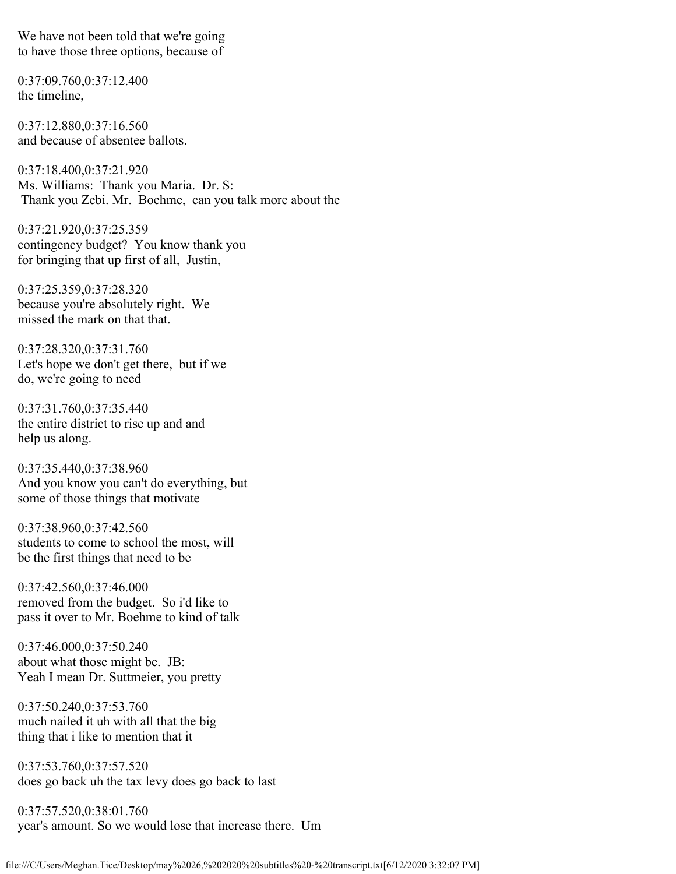We have not been told that we're going to have those three options, because of

0:37:09.760,0:37:12.400 the timeline,

0:37:12.880,0:37:16.560 and because of absentee ballots.

0:37:18.400,0:37:21.920 Ms. Williams: Thank you Maria. Dr. S: Thank you Zebi. Mr. Boehme, can you talk more about the

0:37:21.920,0:37:25.359 contingency budget? You know thank you for bringing that up first of all, Justin,

0:37:25.359,0:37:28.320 because you're absolutely right. We missed the mark on that that.

0:37:28.320,0:37:31.760 Let's hope we don't get there, but if we do, we're going to need

0:37:31.760,0:37:35.440 the entire district to rise up and and help us along.

0:37:35.440,0:37:38.960 And you know you can't do everything, but some of those things that motivate

0:37:38.960,0:37:42.560 students to come to school the most, will be the first things that need to be

0:37:42.560,0:37:46.000 removed from the budget. So i'd like to pass it over to Mr. Boehme to kind of talk

0:37:46.000,0:37:50.240 about what those might be. JB: Yeah I mean Dr. Suttmeier, you pretty

0:37:50.240,0:37:53.760 much nailed it uh with all that the big thing that i like to mention that it

0:37:53.760,0:37:57.520 does go back uh the tax levy does go back to last

0:37:57.520,0:38:01.760 year's amount. So we would lose that increase there. Um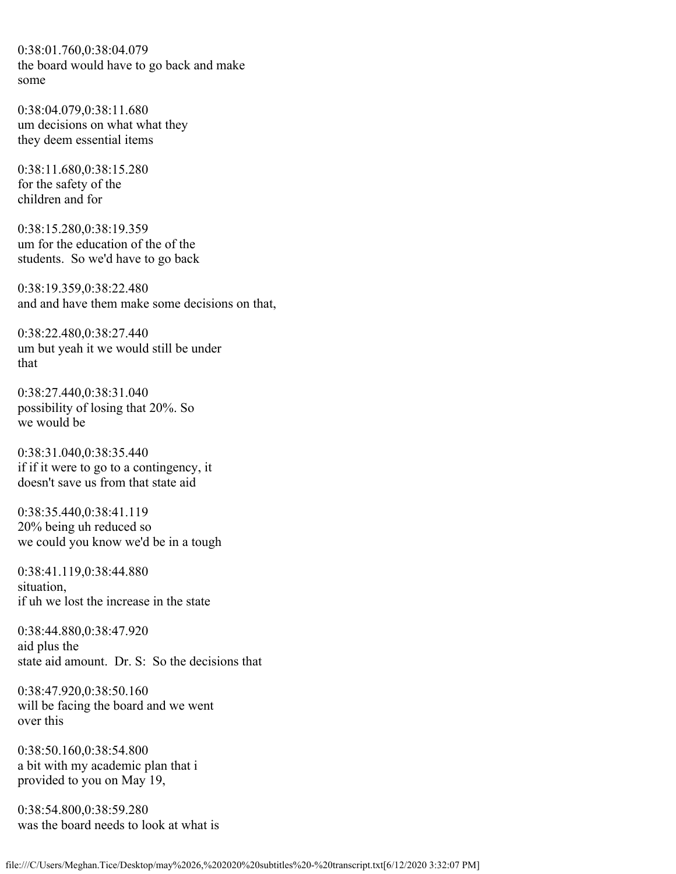0:38:01.760,0:38:04.079 the board would have to go back and make some

0:38:04.079,0:38:11.680 um decisions on what what they they deem essential items

0:38:11.680,0:38:15.280 for the safety of the children and for

0:38:15.280,0:38:19.359 um for the education of the of the students. So we'd have to go back

0:38:19.359,0:38:22.480 and and have them make some decisions on that,

0:38:22.480,0:38:27.440 um but yeah it we would still be under that

0:38:27.440,0:38:31.040 possibility of losing that 20%. So we would be

0:38:31.040,0:38:35.440 if if it were to go to a contingency, it doesn't save us from that state aid

0:38:35.440,0:38:41.119 20% being uh reduced so we could you know we'd be in a tough

0:38:41.119,0:38:44.880 situation, if uh we lost the increase in the state

0:38:44.880,0:38:47.920 aid plus the state aid amount. Dr. S: So the decisions that

0:38:47.920,0:38:50.160 will be facing the board and we went over this

0:38:50.160,0:38:54.800 a bit with my academic plan that i provided to you on May 19,

0:38:54.800,0:38:59.280 was the board needs to look at what is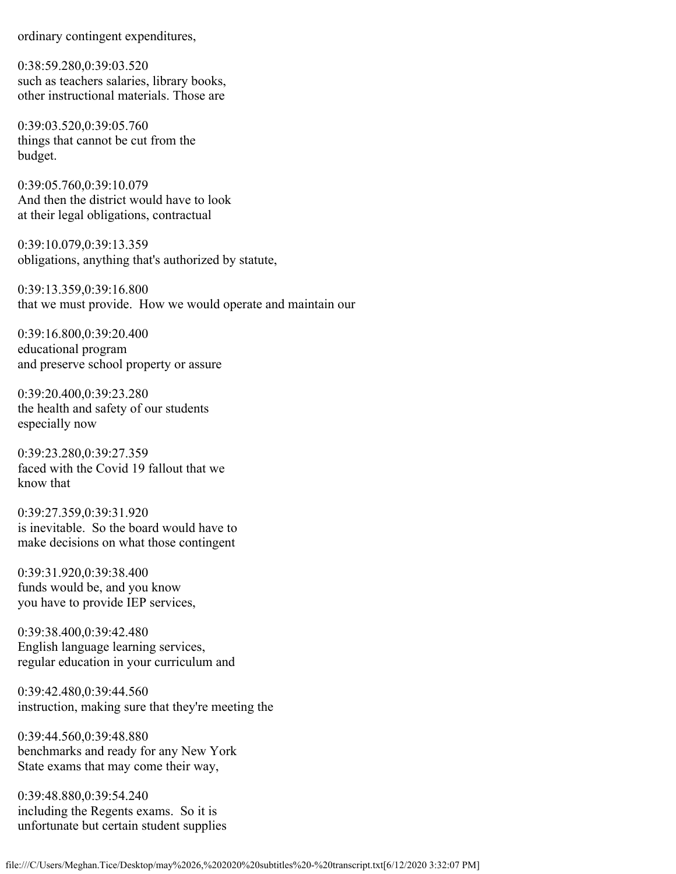ordinary contingent expenditures,

0:38:59.280,0:39:03.520 such as teachers salaries, library books, other instructional materials. Those are

0:39:03.520,0:39:05.760 things that cannot be cut from the budget.

0:39:05.760,0:39:10.079 And then the district would have to look at their legal obligations, contractual

0:39:10.079,0:39:13.359 obligations, anything that's authorized by statute,

0:39:13.359,0:39:16.800 that we must provide. How we would operate and maintain our

0:39:16.800,0:39:20.400 educational program and preserve school property or assure

0:39:20.400,0:39:23.280 the health and safety of our students especially now

0:39:23.280,0:39:27.359 faced with the Covid 19 fallout that we know that

0:39:27.359,0:39:31.920 is inevitable. So the board would have to make decisions on what those contingent

0:39:31.920,0:39:38.400 funds would be, and you know you have to provide IEP services,

0:39:38.400,0:39:42.480 English language learning services, regular education in your curriculum and

0:39:42.480,0:39:44.560 instruction, making sure that they're meeting the

0:39:44.560,0:39:48.880 benchmarks and ready for any New York State exams that may come their way,

0:39:48.880,0:39:54.240 including the Regents exams. So it is unfortunate but certain student supplies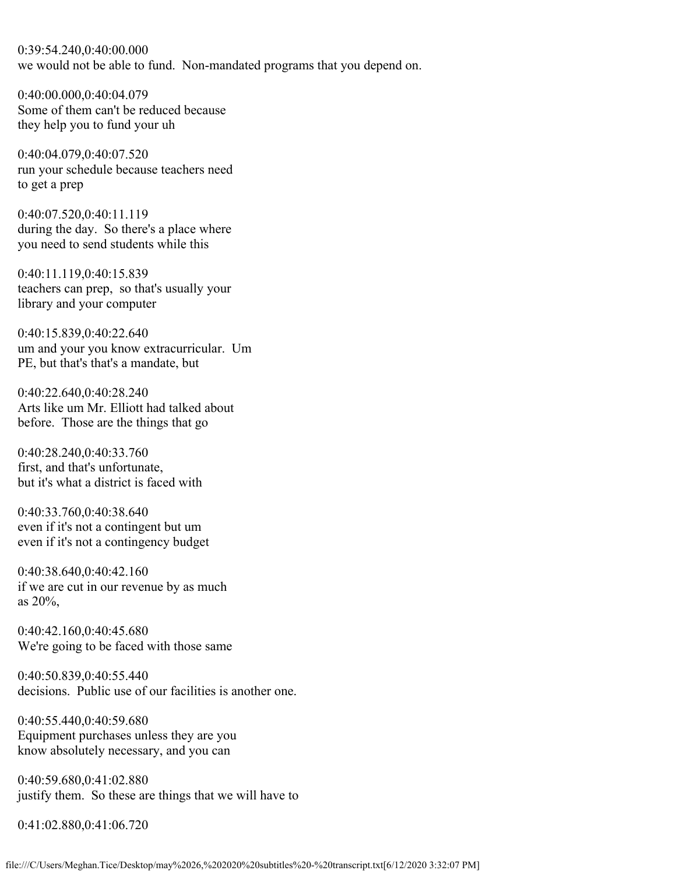0:39:54.240,0:40:00.000 we would not be able to fund. Non-mandated programs that you depend on.

0:40:00.000,0:40:04.079 Some of them can't be reduced because they help you to fund your uh

0:40:04.079,0:40:07.520 run your schedule because teachers need to get a prep

0:40:07.520,0:40:11.119 during the day. So there's a place where you need to send students while this

0:40:11.119,0:40:15.839 teachers can prep, so that's usually your library and your computer

0:40:15.839,0:40:22.640 um and your you know extracurricular. Um PE, but that's that's a mandate, but

0:40:22.640,0:40:28.240 Arts like um Mr. Elliott had talked about before. Those are the things that go

0:40:28.240,0:40:33.760 first, and that's unfortunate, but it's what a district is faced with

0:40:33.760,0:40:38.640 even if it's not a contingent but um even if it's not a contingency budget

0:40:38.640,0:40:42.160 if we are cut in our revenue by as much as 20%,

0:40:42.160,0:40:45.680 We're going to be faced with those same

0:40:50.839,0:40:55.440 decisions. Public use of our facilities is another one.

0:40:55.440,0:40:59.680 Equipment purchases unless they are you know absolutely necessary, and you can

0:40:59.680,0:41:02.880 justify them. So these are things that we will have to

0:41:02.880,0:41:06.720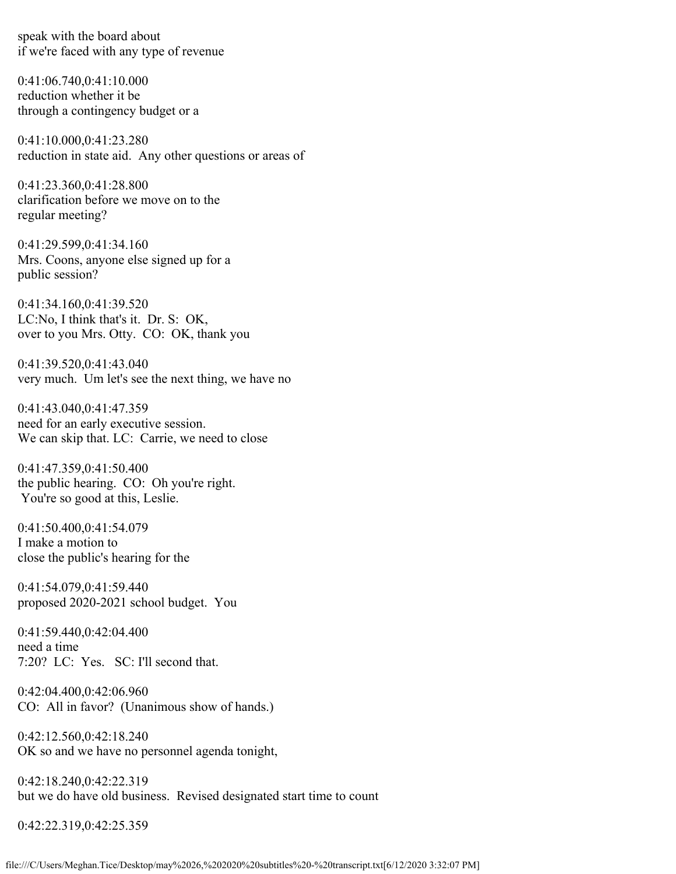speak with the board about if we're faced with any type of revenue

0:41:06.740,0:41:10.000 reduction whether it be through a contingency budget or a

0:41:10.000,0:41:23.280 reduction in state aid. Any other questions or areas of

0:41:23.360,0:41:28.800 clarification before we move on to the regular meeting?

0:41:29.599,0:41:34.160 Mrs. Coons, anyone else signed up for a public session?

0:41:34.160,0:41:39.520 LC:No, I think that's it. Dr. S: OK, over to you Mrs. Otty. CO: OK, thank you

0:41:39.520,0:41:43.040 very much. Um let's see the next thing, we have no

0:41:43.040,0:41:47.359 need for an early executive session. We can skip that. LC: Carrie, we need to close

0:41:47.359,0:41:50.400 the public hearing. CO: Oh you're right. You're so good at this, Leslie.

0:41:50.400,0:41:54.079 I make a motion to close the public's hearing for the

0:41:54.079,0:41:59.440 proposed 2020-2021 school budget. You

0:41:59.440,0:42:04.400 need a time 7:20? LC: Yes. SC: I'll second that.

0:42:04.400,0:42:06.960 CO: All in favor? (Unanimous show of hands.)

0:42:12.560,0:42:18.240 OK so and we have no personnel agenda tonight,

0:42:18.240,0:42:22.319 but we do have old business. Revised designated start time to count

0:42:22.319,0:42:25.359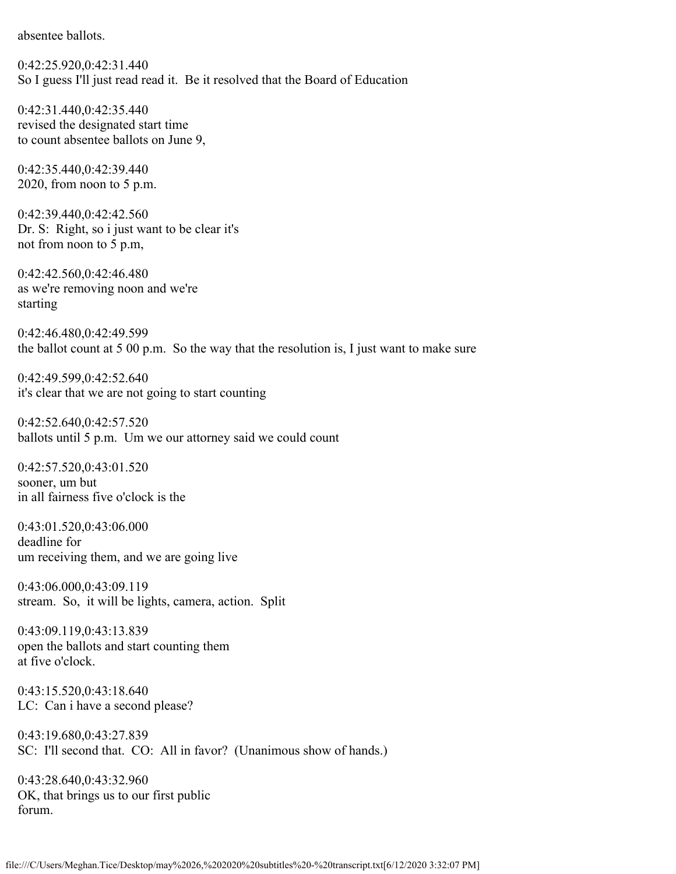absentee ballots.

0:42:25.920,0:42:31.440 So I guess I'll just read read it. Be it resolved that the Board of Education

0:42:31.440,0:42:35.440 revised the designated start time to count absentee ballots on June 9,

0:42:35.440,0:42:39.440 2020, from noon to 5 p.m.

0:42:39.440,0:42:42.560 Dr. S: Right, so i just want to be clear it's not from noon to 5 p.m,

0:42:42.560,0:42:46.480 as we're removing noon and we're starting

0:42:46.480,0:42:49.599 the ballot count at 5 00 p.m. So the way that the resolution is, I just want to make sure

0:42:49.599,0:42:52.640 it's clear that we are not going to start counting

0:42:52.640,0:42:57.520 ballots until 5 p.m. Um we our attorney said we could count

0:42:57.520,0:43:01.520 sooner, um but in all fairness five o'clock is the

0:43:01.520,0:43:06.000 deadline for um receiving them, and we are going live

0:43:06.000,0:43:09.119 stream. So, it will be lights, camera, action. Split

0:43:09.119,0:43:13.839 open the ballots and start counting them at five o'clock.

0:43:15.520,0:43:18.640 LC: Can i have a second please?

0:43:19.680,0:43:27.839 SC: I'll second that. CO: All in favor? (Unanimous show of hands.)

0:43:28.640,0:43:32.960 OK, that brings us to our first public forum.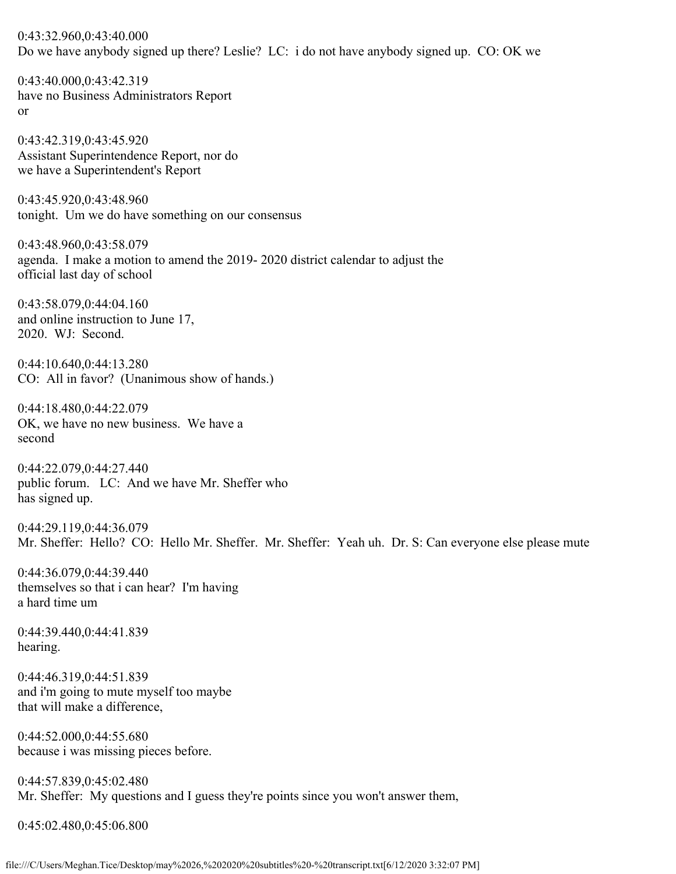0:43:32.960,0:43:40.000 Do we have anybody signed up there? Leslie? LC: i do not have anybody signed up. CO: OK we

0:43:40.000,0:43:42.319 have no Business Administrators Report or

0:43:42.319,0:43:45.920 Assistant Superintendence Report, nor do we have a Superintendent's Report

0:43:45.920,0:43:48.960 tonight. Um we do have something on our consensus

0:43:48.960,0:43:58.079 agenda. I make a motion to amend the 2019- 2020 district calendar to adjust the official last day of school

0:43:58.079,0:44:04.160 and online instruction to June 17, 2020. WJ: Second.

0:44:10.640,0:44:13.280 CO: All in favor? (Unanimous show of hands.)

0:44:18.480,0:44:22.079 OK, we have no new business. We have a second

0:44:22.079,0:44:27.440 public forum. LC: And we have Mr. Sheffer who has signed up.

0:44:29.119,0:44:36.079 Mr. Sheffer: Hello? CO: Hello Mr. Sheffer. Mr. Sheffer: Yeah uh. Dr. S: Can everyone else please mute

0:44:36.079,0:44:39.440 themselves so that i can hear? I'm having a hard time um

0:44:39.440,0:44:41.839 hearing.

0:44:46.319,0:44:51.839 and i'm going to mute myself too maybe that will make a difference,

0:44:52.000,0:44:55.680 because i was missing pieces before.

0:44:57.839,0:45:02.480 Mr. Sheffer: My questions and I guess they're points since you won't answer them,

0:45:02.480,0:45:06.800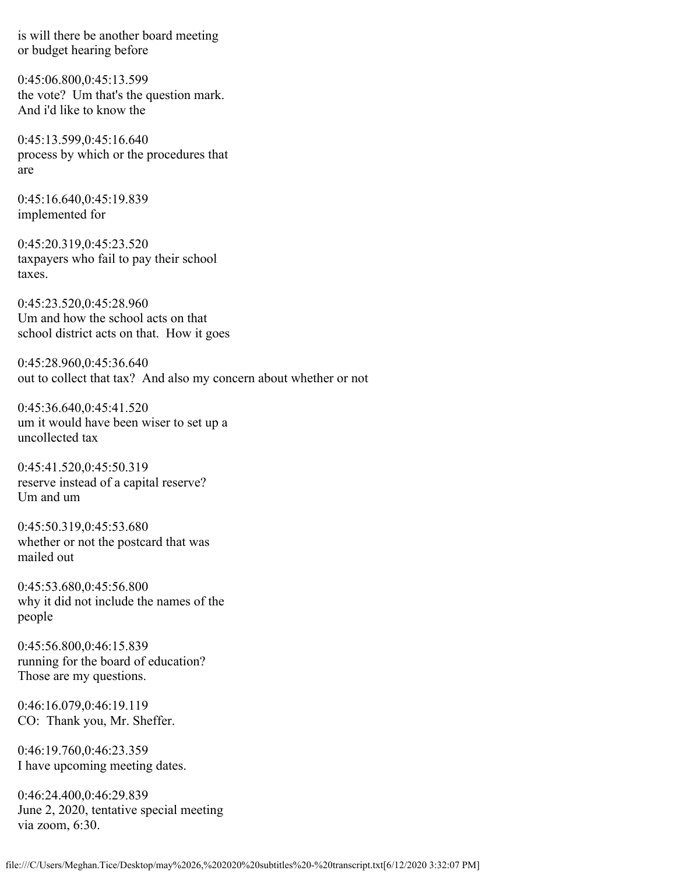is will there be another board meeting or budget hearing before

0:45:06.800,0:45:13.599 the vote? Um that's the question mark. And i'd like to know the

0:45:13.599,0:45:16.640 process by which or the procedures that are

0:45:16.640,0:45:19.839 implemented for

0:45:20.319,0:45:23.520 taxpayers who fail to pay their school taxes.

0:45:23.520,0:45:28.960 Um and how the school acts on that school district acts on that. How it goes

0:45:28.960,0:45:36.640 out to collect that tax? And also my concern about whether or not

0:45:36.640,0:45:41.520 um it would have been wiser to set up a uncollected tax

0:45:41.520,0:45:50.319 reserve instead of a capital reserve? Um and um

0:45:50.319,0:45:53.680 whether or not the postcard that was mailed out

0:45:53.680,0:45:56.800 why it did not include the names of the people

0:45:56.800,0:46:15.839 running for the board of education? Those are my questions.

0:46:16.079,0:46:19.119 CO: Thank you, Mr. Sheffer.

0:46:19.760,0:46:23.359 I have upcoming meeting dates.

0:46:24.400,0:46:29.839 June 2, 2020, tentative special meeting via zoom, 6:30.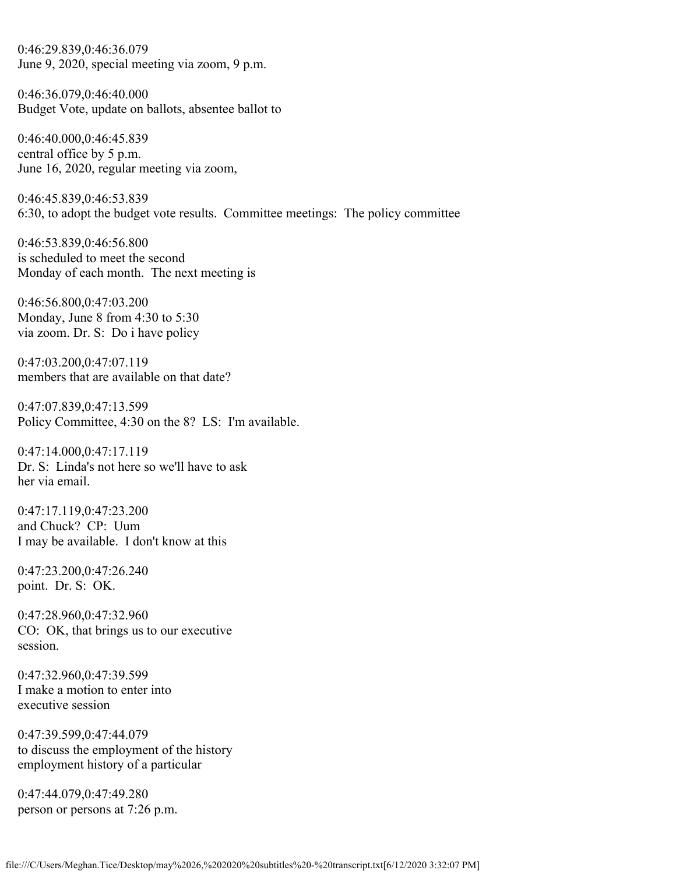0:46:29.839,0:46:36.079 June 9, 2020, special meeting via zoom, 9 p.m.

0:46:36.079,0:46:40.000 Budget Vote, update on ballots, absentee ballot to

0:46:40.000,0:46:45.839 central office by 5 p.m. June 16, 2020, regular meeting via zoom,

0:46:45.839,0:46:53.839 6:30, to adopt the budget vote results. Committee meetings: The policy committee

0:46:53.839,0:46:56.800 is scheduled to meet the second Monday of each month. The next meeting is

0:46:56.800,0:47:03.200 Monday, June 8 from 4:30 to 5:30 via zoom. Dr. S: Do i have policy

0:47:03.200,0:47:07.119 members that are available on that date?

0:47:07.839,0:47:13.599 Policy Committee, 4:30 on the 8? LS: I'm available.

0:47:14.000,0:47:17.119 Dr. S: Linda's not here so we'll have to ask her via email.

0:47:17.119,0:47:23.200 and Chuck? CP: Uum I may be available. I don't know at this

0:47:23.200,0:47:26.240 point. Dr. S: OK.

0:47:28.960,0:47:32.960 CO: OK, that brings us to our executive session.

0:47:32.960,0:47:39.599 I make a motion to enter into executive session

0:47:39.599,0:47:44.079 to discuss the employment of the history employment history of a particular

0:47:44.079,0:47:49.280 person or persons at 7:26 p.m.